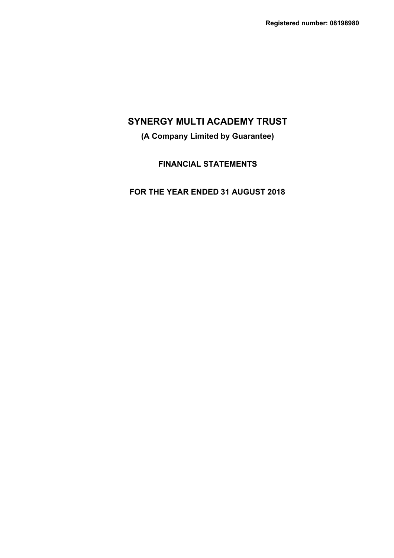# **(A Company Limited by Guarantee)**

# **FINANCIAL STATEMENTS**

# **FOR THE YEAR ENDED 31 AUGUST 2018**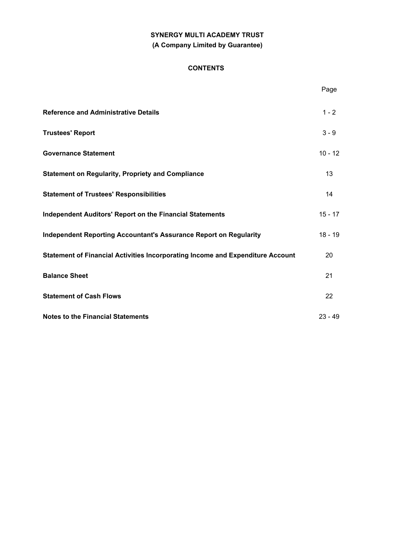# **SYNERGY MULTI ACADEMY TRUST (A Company Limited by Guarantee)**

### **CONTENTS**

|                                                                                | Page      |
|--------------------------------------------------------------------------------|-----------|
| <b>Reference and Administrative Details</b>                                    | $1 - 2$   |
| <b>Trustees' Report</b>                                                        | $3 - 9$   |
| <b>Governance Statement</b>                                                    | $10 - 12$ |
| <b>Statement on Regularity, Propriety and Compliance</b>                       | 13        |
| <b>Statement of Trustees' Responsibilities</b>                                 | 14        |
| <b>Independent Auditors' Report on the Financial Statements</b>                | $15 - 17$ |
| <b>Independent Reporting Accountant's Assurance Report on Regularity</b>       | $18 - 19$ |
| Statement of Financial Activities Incorporating Income and Expenditure Account | 20        |
| <b>Balance Sheet</b>                                                           | 21        |
| <b>Statement of Cash Flows</b>                                                 | 22        |
| <b>Notes to the Financial Statements</b>                                       | $23 - 49$ |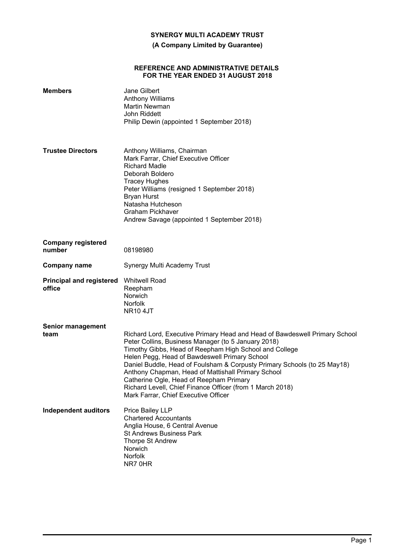**(A Company Limited by Guarantee)**

#### **REFERENCE AND ADMINISTRATIVE DETAILS FOR THE YEAR ENDED 31 AUGUST 2018**

| <b>Members</b>                            | <b>Jane Gilbert</b><br><b>Anthony Williams</b><br>Martin Newman<br>John Riddett<br>Philip Dewin (appointed 1 September 2018)                                                                                                                                                                                                                                                                                                                                                                                                   |
|-------------------------------------------|--------------------------------------------------------------------------------------------------------------------------------------------------------------------------------------------------------------------------------------------------------------------------------------------------------------------------------------------------------------------------------------------------------------------------------------------------------------------------------------------------------------------------------|
| <b>Trustee Directors</b>                  | Anthony Williams, Chairman<br>Mark Farrar, Chief Executive Officer<br><b>Richard Madle</b><br>Deborah Boldero<br><b>Tracey Hughes</b><br>Peter Williams (resigned 1 September 2018)<br><b>Bryan Hurst</b><br>Natasha Hutcheson<br><b>Graham Pickhaver</b><br>Andrew Savage (appointed 1 September 2018)                                                                                                                                                                                                                        |
| <b>Company registered</b><br>number       | 08198980                                                                                                                                                                                                                                                                                                                                                                                                                                                                                                                       |
| <b>Company name</b>                       | Synergy Multi Academy Trust                                                                                                                                                                                                                                                                                                                                                                                                                                                                                                    |
| <b>Principal and registered</b><br>office | <b>Whitwell Road</b><br>Reepham<br>Norwich<br>Norfolk<br><b>NR10 4JT</b>                                                                                                                                                                                                                                                                                                                                                                                                                                                       |
| <b>Senior management</b><br>team          | Richard Lord, Executive Primary Head and Head of Bawdeswell Primary School<br>Peter Collins, Business Manager (to 5 January 2018)<br>Timothy Gibbs, Head of Reepham High School and College<br>Helen Pegg, Head of Bawdeswell Primary School<br>Daniel Buddle, Head of Foulsham & Corpusty Primary Schools (to 25 May18)<br>Anthony Chapman, Head of Mattishall Primary School<br>Catherine Ogle, Head of Reepham Primary<br>Richard Levell, Chief Finance Officer (from 1 March 2018)<br>Mark Farrar, Chief Executive Officer |
| <b>Independent auditors</b>               | Price Bailey LLP<br><b>Chartered Accountants</b><br>Anglia House, 6 Central Avenue<br><b>St Andrews Business Park</b><br>Thorpe St Andrew<br><b>Norwich</b><br>Norfolk<br>NR7 0HR                                                                                                                                                                                                                                                                                                                                              |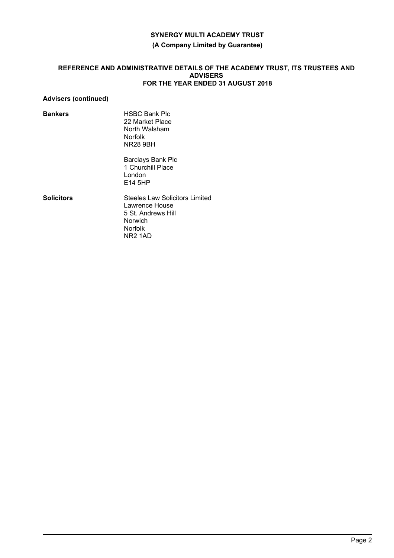### **(A Company Limited by Guarantee)**

### **REFERENCE AND ADMINISTRATIVE DETAILS OF THE ACADEMY TRUST, ITS TRUSTEES AND ADVISERS FOR THE YEAR ENDED 31 AUGUST 2018**

### **Advisers (continued)**

**Bankers** HSBC Bank Plc 22 Market Place North Walsham Norfolk NR28 9BH

> Barclays Bank Plc 1 Churchill Place London E14 5HP

**Solicitors** Steeles Law Solicitors Limited Lawrence House 5 St. Andrews Hill Norwich Norfolk NR2 1AD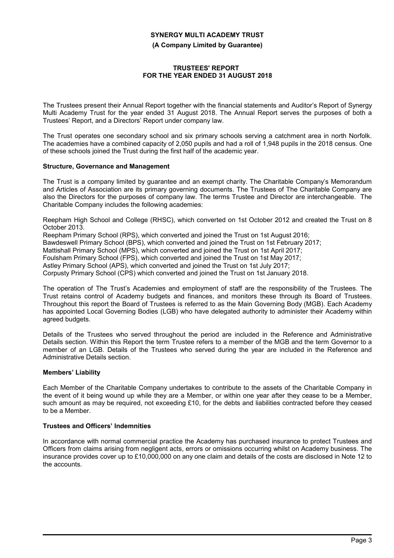**(A Company Limited by Guarantee)**

### **TRUSTEES' REPORT FOR THE YEAR ENDED 31 AUGUST 2018**

The Trustees present their Annual Report together with the financial statements and Auditor's Report of Synergy Multi Academy Trust for the year ended 31 August 2018. The Annual Report serves the purposes of both a Trustees' Report, and a Directors' Report under company law.

The Trust operates one secondary school and six primary schools serving a catchment area in north Norfolk. The academies have a combined capacity of 2,050 pupils and had a roll of 1,948 pupils in the 2018 census. One of these schools joined the Trust during the first half of the academic year.

### **Structure, Governance and Management**

The Trust is a company limited by guarantee and an exempt charity. The Charitable Company's Memorandum and Articles of Association are its primary governing documents. The Trustees of The Charitable Company are also the Directors for the purposes of company law. The terms Trustee and Director are interchangeable. The Charitable Company includes the following academies:

Reepham High School and College (RHSC), which converted on 1st October 2012 and created the Trust on 8 October 2013.

Reepham Primary School (RPS), which converted and joined the Trust on 1st August 2016;

Bawdeswell Primary School (BPS), which converted and joined the Trust on 1st February 2017;

Mattishall Primary School (MPS), which converted and joined the Trust on 1st April 2017;

Foulsham Primary School (FPS), which converted and joined the Trust on 1st May 2017;

Astley Primary School (APS), which converted and joined the Trust on 1st July 2017;

Corpusty Primary School (CPS) which converted and joined the Trust on 1st January 2018.

The operation of The Trust's Academies and employment of staff are the responsibility of the Trustees. The Trust retains control of Academy budgets and finances, and monitors these through its Board of Trustees. Throughout this report the Board of Trustees is referred to as the Main Governing Body (MGB). Each Academy has appointed Local Governing Bodies (LGB) who have delegated authority to administer their Academy within agreed budgets.

Details of the Trustees who served throughout the period are included in the Reference and Administrative Details section. Within this Report the term Trustee refers to a member of the MGB and the term Governor to a member of an LGB. Details of the Trustees who served during the year are included in the Reference and Administrative Details section.

### **Members' Liability**

Each Member of the Charitable Company undertakes to contribute to the assets of the Charitable Company in the event of it being wound up while they are a Member, or within one year after they cease to be a Member, such amount as may be required, not exceeding £10, for the debts and liabilities contracted before they ceased to be a Member.

### **Trustees and Officers' Indemnities**

In accordance with normal commercial practice the Academy has purchased insurance to protect Trustees and Officers from claims arising from negligent acts, errors or omissions occurring whilst on Academy business. The insurance provides cover up to £10,000,000 on any one claim and details of the costs are disclosed in Note 12 to the accounts.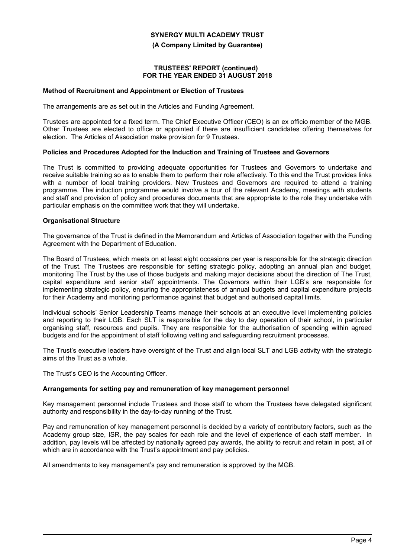**(A Company Limited by Guarantee)**

#### **TRUSTEES' REPORT (continued) FOR THE YEAR ENDED 31 AUGUST 2018**

#### **Method of Recruitment and Appointment or Election of Trustees**

The arrangements are as set out in the Articles and Funding Agreement.

Trustees are appointed for a fixed term. The Chief Executive Officer (CEO) is an ex officio member of the MGB. Other Trustees are elected to office or appointed if there are insufficient candidates offering themselves for election. The Articles of Association make provision for 9 Trustees.

### **Policies and Procedures Adopted for the Induction and Training of Trustees and Governors**

The Trust is committed to providing adequate opportunities for Trustees and Governors to undertake and receive suitable training so as to enable them to perform their role effectively. To this end the Trust provides links with a number of local training providers. New Trustees and Governors are required to attend a training programme. The induction programme would involve a tour of the relevant Academy, meetings with students and staff and provision of policy and procedures documents that are appropriate to the role they undertake with particular emphasis on the committee work that they will undertake.

### **Organisational Structure**

The governance of the Trust is defined in the Memorandum and Articles of Association together with the Funding Agreement with the Department of Education.

The Board of Trustees, which meets on at least eight occasions per year is responsible for the strategic direction of the Trust. The Trustees are responsible for setting strategic policy, adopting an annual plan and budget, monitoring The Trust by the use of those budgets and making major decisions about the direction of The Trust, capital expenditure and senior staff appointments. The Governors within their LGB's are responsible for implementing strategic policy, ensuring the appropriateness of annual budgets and capital expenditure projects for their Academy and monitoring performance against that budget and authorised capital limits.

Individual schools' Senior Leadership Teams manage their schools at an executive level implementing policies and reporting to their LGB. Each SLT is responsible for the day to day operation of their school, in particular organising staff, resources and pupils. They are responsible for the authorisation of spending within agreed budgets and for the appointment of staff following vetting and safeguarding recruitment processes.

The Trust's executive leaders have oversight of the Trust and align local SLT and LGB activity with the strategic aims of the Trust as a whole.

The Trust's CEO is the Accounting Officer.

### **Arrangements for setting pay and remuneration of key management personnel**

Key management personnel include Trustees and those staff to whom the Trustees have delegated significant authority and responsibility in the day-to-day running of the Trust.

Pay and remuneration of key management personnel is decided by a variety of contributory factors, such as the Academy group size, ISR, the pay scales for each role and the level of experience of each staff member. In addition, pay levels will be affected by nationally agreed pay awards, the ability to recruit and retain in post, all of which are in accordance with the Trust's appointment and pay policies.

All amendments to key management's pay and remuneration is approved by the MGB.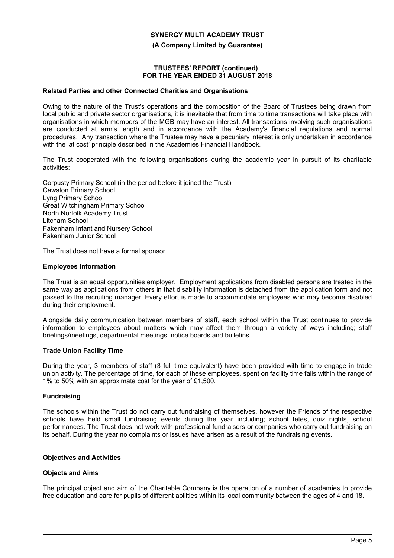**(A Company Limited by Guarantee)**

#### **TRUSTEES' REPORT (continued) FOR THE YEAR ENDED 31 AUGUST 2018**

#### **Related Parties and other Connected Charities and Organisations**

Owing to the nature of the Trust's operations and the composition of the Board of Trustees being drawn from local public and private sector organisations, it is inevitable that from time to time transactions will take place with organisations in which members of the MGB may have an interest. All transactions involving such organisations are conducted at arm's length and in accordance with the Academy's financial regulations and normal procedures. Any transaction where the Trustee may have a pecuniary interest is only undertaken in accordance with the 'at cost' principle described in the Academies Financial Handbook.

The Trust cooperated with the following organisations during the academic year in pursuit of its charitable activities:

Corpusty Primary School (in the period before it joined the Trust) Cawston Primary School Lyng Primary School Great Witchingham Primary School North Norfolk Academy Trust Litcham School Fakenham Infant and Nursery School Fakenham Junior School

The Trust does not have a formal sponsor.

### **Employees Information**

The Trust is an equal opportunities employer. Employment applications from disabled persons are treated in the same way as applications from others in that disability information is detached from the application form and not passed to the recruiting manager. Every effort is made to accommodate employees who may become disabled during their employment.

Alongside daily communication between members of staff, each school within the Trust continues to provide information to employees about matters which may affect them through a variety of ways including; staff briefings/meetings, departmental meetings, notice boards and bulletins.

#### **Trade Union Facility Time**

During the year, 3 members of staff (3 full time equivalent) have been provided with time to engage in trade union activity. The percentage of time, for each of these employees, spent on facility time falls within the range of 1% to 50% with an approximate cost for the year of £1,500.

#### **Fundraising**

The schools within the Trust do not carry out fundraising of themselves, however the Friends of the respective schools have held small fundraising events during the year including; school fetes, quiz nights, school performances. The Trust does not work with professional fundraisers or companies who carry out fundraising on its behalf. During the year no complaints or issues have arisen as a result of the fundraising events.

#### **Objectives and Activities**

#### **Objects and Aims**

The principal object and aim of the Charitable Company is the operation of a number of academies to provide free education and care for pupils of different abilities within its local community between the ages of 4 and 18.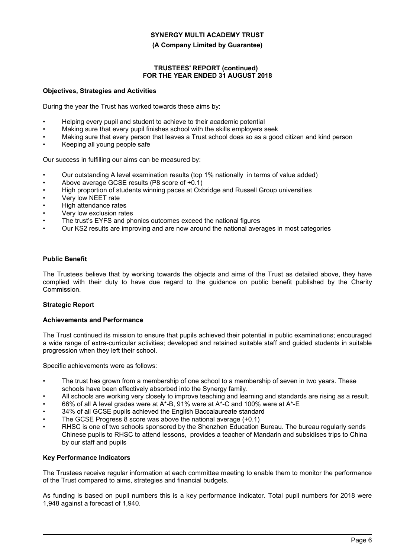### **(A Company Limited by Guarantee)**

### **TRUSTEES' REPORT (continued) FOR THE YEAR ENDED 31 AUGUST 2018**

### **Objectives, Strategies and Activities**

During the year the Trust has worked towards these aims by:

- Helping every pupil and student to achieve to their academic potential
- Making sure that every pupil finishes school with the skills employers seek
- Making sure that every person that leaves a Trust school does so as a good citizen and kind person
- Keeping all young people safe

Our success in fulfilling our aims can be measured by:

- Our outstanding A level examination results (top 1% nationally in terms of value added)
- Above average GCSE results (P8 score of +0.1)
- High proportion of students winning paces at Oxbridge and Russell Group universities
- Very low NEET rate
- High attendance rates
- Very low exclusion rates
- The trust's EYFS and phonics outcomes exceed the national figures
- Our KS2 results are improving and are now around the national averages in most categories

### **Public Benefit**

The Trustees believe that by working towards the objects and aims of the Trust as detailed above, they have complied with their duty to have due regard to the guidance on public benefit published by the Charity Commission.

### **Strategic Report**

#### **Achievements and Performance**

The Trust continued its mission to ensure that pupils achieved their potential in public examinations; encouraged a wide range of extra-curricular activities; developed and retained suitable staff and guided students in suitable progression when they left their school.

Specific achievements were as follows:

- The trust has grown from a membership of one school to a membership of seven in two years. These schools have been effectively absorbed into the Synergy family.
- All schools are working very closely to improve teaching and learning and standards are rising as a result.
- 66% of all A level grades were at A\*-B, 91% were at A\*-C and 100% were at A\*-E
- 34% of all GCSE pupils achieved the English Baccalaureate standard
- The GCSE Progress 8 score was above the national average (+0.1)
- RHSC is one of two schools sponsored by the Shenzhen Education Bureau. The bureau regularly sends Chinese pupils to RHSC to attend lessons, provides a teacher of Mandarin and subsidises trips to China by our staff and pupils

### **Key Performance Indicators**

The Trustees receive regular information at each committee meeting to enable them to monitor the performance of the Trust compared to aims, strategies and financial budgets.

As funding is based on pupil numbers this is a key performance indicator. Total pupil numbers for 2018 were 1,948 against a forecast of 1,940.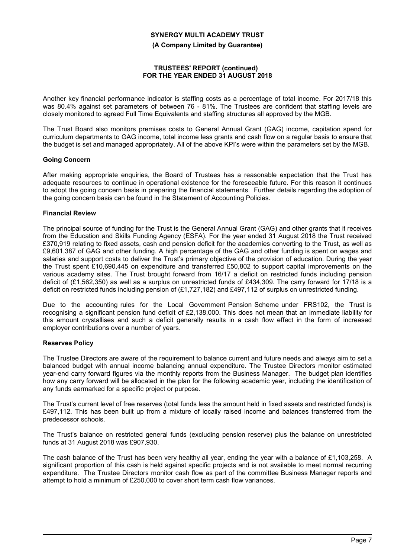**(A Company Limited by Guarantee)**

### **TRUSTEES' REPORT (continued) FOR THE YEAR ENDED 31 AUGUST 2018**

Another key financial performance indicator is staffing costs as a percentage of total income. For 2017/18 this was 80.4% against set parameters of between 76 - 81%. The Trustees are confident that staffing levels are closely monitored to agreed Full Time Equivalents and staffing structures all approved by the MGB.

The Trust Board also monitors premises costs to General Annual Grant (GAG) income, capitation spend for curriculum departments to GAG income, total income less grants and cash flow on a regular basis to ensure that the budget is set and managed appropriately. All of the above KPI's were within the parameters set by the MGB.

### **Going Concern**

After making appropriate enquiries, the Board of Trustees has a reasonable expectation that the Trust has adequate resources to continue in operational existence for the foreseeable future. For this reason it continues to adopt the going concern basis in preparing the financial statements. Further details regarding the adoption of the going concern basis can be found in the Statement of Accounting Policies.

### **Financial Review**

The principal source of funding for the Trust is the General Annual Grant (GAG) and other grants that it receives from the Education and Skills Funding Agency (ESFA). For the year ended 31 August 2018 the Trust received £370,919 relating to fixed assets, cash and pension deficit for the academies converting to the Trust, as well as £9,601,387 of GAG and other funding. A high percentage of the GAG and other funding is spent on wages and salaries and support costs to deliver the Trust's primary objective of the provision of education. During the year the Trust spent £10,690,445 on expenditure and transferred £50,802 to support capital improvements on the various academy sites. The Trust brought forward from 16/17 a deficit on restricted funds including pension deficit of (£1,562,350) as well as a surplus on unrestricted funds of £434,309. The carry forward for 17/18 is a deficit on restricted funds including pension of (£1,727,182) and £497,112 of surplus on unrestricted funding.

Due to the accounting rules for the Local Government Pension Scheme under FRS102, the Trust is recognising a significant pension fund deficit of £2,138,000. This does not mean that an immediate liability for this amount crystallises and such a deficit generally results in a cash flow effect in the form of increased employer contributions over a number of years.

### **Reserves Policy**

The Trustee Directors are aware of the requirement to balance current and future needs and always aim to set a balanced budget with annual income balancing annual expenditure. The Trustee Directors monitor estimated year-end carry forward figures via the monthly reports from the Business Manager. The budget plan identifies how any carry forward will be allocated in the plan for the following academic year, including the identification of any funds earmarked for a specific project or purpose.

The Trust's current level of free reserves (total funds less the amount held in fixed assets and restricted funds) is £497,112. This has been built up from a mixture of locally raised income and balances transferred from the predecessor schools.

The Trust's balance on restricted general funds (excluding pension reserve) plus the balance on unrestricted funds at 31 August 2018 was £907,930.

The cash balance of the Trust has been very healthy all year, ending the year with a balance of £1,103,258. A significant proportion of this cash is held against specific projects and is not available to meet normal recurring expenditure. The Trustee Directors monitor cash flow as part of the committee Business Manager reports and attempt to hold a minimum of £250,000 to cover short term cash flow variances.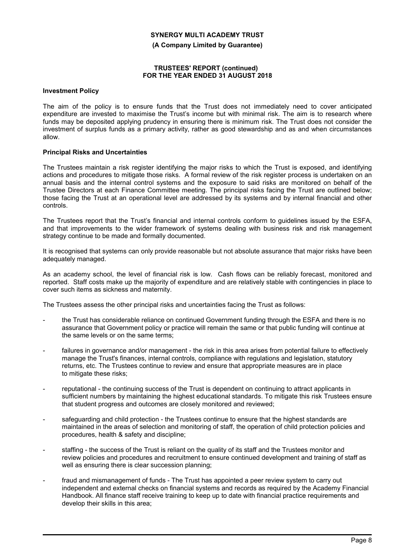**(A Company Limited by Guarantee)**

### **TRUSTEES' REPORT (continued) FOR THE YEAR ENDED 31 AUGUST 2018**

#### **Investment Policy**

The aim of the policy is to ensure funds that the Trust does not immediately need to cover anticipated expenditure are invested to maximise the Trust's income but with minimal risk. The aim is to research where funds may be deposited applying prudency in ensuring there is minimum risk. The Trust does not consider the investment of surplus funds as a primary activity, rather as good stewardship and as and when circumstances allow.

#### **Principal Risks and Uncertainties**

The Trustees maintain a risk register identifying the major risks to which the Trust is exposed, and identifying actions and procedures to mitigate those risks. A formal review of the risk register process is undertaken on an annual basis and the internal control systems and the exposure to said risks are monitored on behalf of the Trustee Directors at each Finance Committee meeting. The principal risks facing the Trust are outlined below; those facing the Trust at an operational level are addressed by its systems and by internal financial and other controls.

The Trustees report that the Trust's financial and internal controls conform to guidelines issued by the ESFA, and that improvements to the wider framework of systems dealing with business risk and risk management strategy continue to be made and formally documented.

It is recognised that systems can only provide reasonable but not absolute assurance that major risks have been adequately managed.

As an academy school, the level of financial risk is low. Cash flows can be reliably forecast, monitored and reported. Staff costs make up the majority of expenditure and are relatively stable with contingencies in place to cover such items as sickness and maternity.

The Trustees assess the other principal risks and uncertainties facing the Trust as follows:

- the Trust has considerable reliance on continued Government funding through the ESFA and there is no assurance that Government policy or practice will remain the same or that public funding will continue at the same levels or on the same terms;
- failures in governance and/or management the risk in this area arises from potential failure to effectively manage the Trust's finances, internal controls, compliance with regulations and legislation, statutory returns, etc. The Trustees continue to review and ensure that appropriate measures are in place to mitigate these risks;
- reputational the continuing success of the Trust is dependent on continuing to attract applicants in sufficient numbers by maintaining the highest educational standards. To mitigate this risk Trustees ensure that student progress and outcomes are closely monitored and reviewed;
- safeguarding and child protection the Trustees continue to ensure that the highest standards are maintained in the areas of selection and monitoring of staff, the operation of child protection policies and procedures, health & safety and discipline;
- staffing the success of the Trust is reliant on the quality of its staff and the Trustees monitor and review policies and procedures and recruitment to ensure continued development and training of staff as well as ensuring there is clear succession planning;
- fraud and mismanagement of funds The Trust has appointed a peer review system to carry out independent and external checks on financial systems and records as required by the Academy Financial Handbook. All finance staff receive training to keep up to date with financial practice requirements and develop their skills in this area;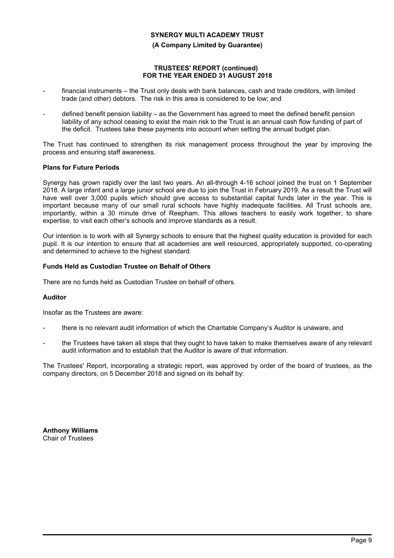#### **(A Company Limited by Guarantee)**

### **TRUSTEES' REPORT (continued) FOR THE YEAR ENDED 31 AUGUST 2018**

- financial instruments the Trust only deals with bank balances, cash and trade creditors, with limited trade (and other) debtors. The risk in this area is considered to be low; and
- defined benefit pension liability as the Government has agreed to meet the defined benefit pension liability of any school ceasing to exist the main risk to the Trust is an annual cash flow funding of part of the deficit. Trustees take these payments into account when setting the annual budget plan.

The Trust has continued to strengthen its risk management process throughout the year by improving the process and ensuring staff awareness.

### **Plans for Future Periods**

Synergy has grown rapidly over the last two years. An all-through 4-16 school joined the trust on 1 September 2018. A large infant and a large junior school are due to join the Trust in February 2019. As a result the Trust will have well over 3,000 pupils which should give access to substantial capital funds later in the year. This is important because many of our small rural schools have highly inadequate facilities. All Trust schools are, importantly, within a 30 minute drive of Reepham. This allows teachers to easily work together, to share expertise, to visit each other's schools and improve standards as a result.

Our intention is to work with all Synergy schools to ensure that the highest quality education is provided for each pupil. It is our intention to ensure that all academies are well resourced, appropriately supported, co-operating and determined to achieve to the highest standard.

### **Funds Held as Custodian Trustee on Behalf of Others**

There are no funds held as Custodian Trustee on behalf of others.

### **Auditor**

Insofar as the Trustees are aware:

- there is no relevant audit information of which the Charitable Company's Auditor is unaware, and
- the Trustees have taken all steps that they ought to have taken to make themselves aware of any relevant audit information and to establish that the Auditor is aware of that information.

The Trustees' Report, incorporating a strategic report, was approved by order of the board of trustees, as the company directors, on 5 December 2018 and signed on its behalf by:

**Anthony Williams**  Chair of Trustees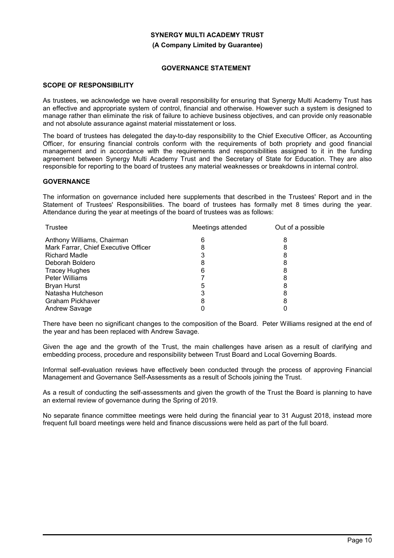**(A Company Limited by Guarantee)**

### **GOVERNANCE STATEMENT**

### **SCOPE OF RESPONSIBILITY**

As trustees, we acknowledge we have overall responsibility for ensuring that Synergy Multi Academy Trust has an effective and appropriate system of control, financial and otherwise. However such a system is designed to manage rather than eliminate the risk of failure to achieve business objectives, and can provide only reasonable and not absolute assurance against material misstatement or loss.

The board of trustees has delegated the day-to-day responsibility to the Chief Executive Officer, as Accounting Officer, for ensuring financial controls conform with the requirements of both propriety and good financial management and in accordance with the requirements and responsibilities assigned to it in the funding agreement between Synergy Multi Academy Trust and the Secretary of State for Education. They are also responsible for reporting to the board of trustees any material weaknesses or breakdowns in internal control.

### **GOVERNANCE**

The information on governance included here supplements that described in the Trustees' Report and in the Statement of Trustees' Responsibilities. The board of trustees has formally met 8 times during the year. Attendance during the year at meetings of the board of trustees was as follows:

|   | Out of a possible |
|---|-------------------|
|   |                   |
|   |                   |
|   |                   |
|   |                   |
| 6 |                   |
|   |                   |
| 5 |                   |
|   |                   |
| 8 | 8                 |
|   |                   |
|   | Meetings attended |

There have been no significant changes to the composition of the Board. Peter Williams resigned at the end of the year and has been replaced with Andrew Savage.

Given the age and the growth of the Trust, the main challenges have arisen as a result of clarifying and embedding process, procedure and responsibility between Trust Board and Local Governing Boards.

Informal self-evaluation reviews have effectively been conducted through the process of approving Financial Management and Governance Self-Assessments as a result of Schools joining the Trust.

As a result of conducting the self-assessments and given the growth of the Trust the Board is planning to have an external review of governance during the Spring of 2019.

No separate finance committee meetings were held during the financial year to 31 August 2018, instead more frequent full board meetings were held and finance discussions were held as part of the full board.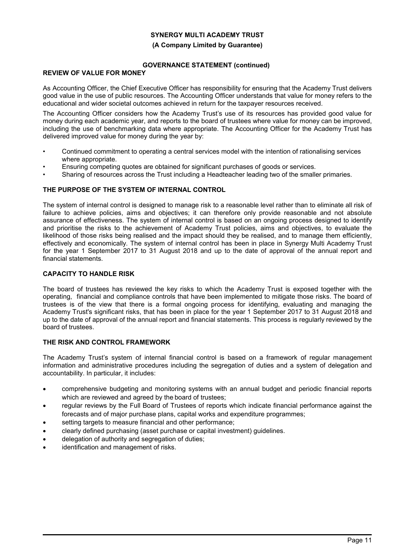#### **(A Company Limited by Guarantee)**

### **GOVERNANCE STATEMENT (continued)**

### **REVIEW OF VALUE FOR MONEY**

As Accounting Officer, the Chief Executive Officer has responsibility for ensuring that the Academy Trust delivers good value in the use of public resources. The Accounting Officer understands that value for money refers to the educational and wider societal outcomes achieved in return for the taxpayer resources received.

The Accounting Officer considers how the Academy Trust's use of its resources has provided good value for money during each academic year, and reports to the board of trustees where value for money can be improved, including the use of benchmarking data where appropriate. The Accounting Officer for the Academy Trust has delivered improved value for money during the year by:

- Continued commitment to operating a central services model with the intention of rationalising services where appropriate.
- Ensuring competing quotes are obtained for significant purchases of goods or services.
- Sharing of resources across the Trust including a Headteacher leading two of the smaller primaries.

### **THE PURPOSE OF THE SYSTEM OF INTERNAL CONTROL**

The system of internal control is designed to manage risk to a reasonable level rather than to eliminate all risk of failure to achieve policies, aims and objectives; it can therefore only provide reasonable and not absolute assurance of effectiveness. The system of internal control is based on an ongoing process designed to identify and prioritise the risks to the achievement of Academy Trust policies, aims and objectives, to evaluate the likelihood of those risks being realised and the impact should they be realised, and to manage them efficiently, effectively and economically. The system of internal control has been in place in Synergy Multi Academy Trust for the year 1 September 2017 to 31 August 2018 and up to the date of approval of the annual report and financial statements.

### **CAPACITY TO HANDLE RISK**

The board of trustees has reviewed the key risks to which the Academy Trust is exposed together with the operating, financial and compliance controls that have been implemented to mitigate those risks. The board of trustees is of the view that there is a formal ongoing process for identifying, evaluating and managing the Academy Trust's significant risks, that has been in place for the year 1 September 2017 to 31 August 2018 and up to the date of approval of the annual report and financial statements. This process is regularly reviewed by the board of trustees.

### **THE RISK AND CONTROL FRAMEWORK**

The Academy Trust's system of internal financial control is based on a framework of regular management information and administrative procedures including the segregation of duties and a system of delegation and accountability. In particular, it includes:

- comprehensive budgeting and monitoring systems with an annual budget and periodic financial reports which are reviewed and agreed by the board of trustees;
- regular reviews by the Full Board of Trustees of reports which indicate financial performance against the forecasts and of major purchase plans, capital works and expenditure programmes;
- setting targets to measure financial and other performance;
- clearly defined purchasing (asset purchase or capital investment) guidelines.
- delegation of authority and segregation of duties;
- identification and management of risks.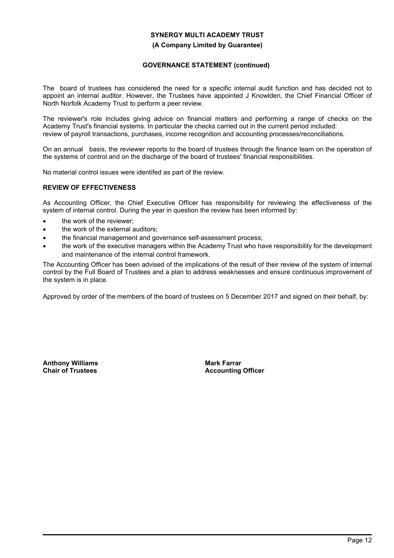**(A Company Limited by Guarantee)**

### **GOVERNANCE STATEMENT (continued)**

The board of trustees has considered the need for a specific internal audit function and has decided not to appoint an internal auditor. However, the Trustees have appointed J Knowlden, the Chief Financial Officer of North Norfolk Academy Trust to perform a peer review.

The reviewer's role includes giving advice on financial matters and performing a range of checks on the Academy Trust's financial systems. In particular the checks carried out in the current period included: review of payroll transactions, purchases, income recognition and accounting processes/reconciliations.

On an annual basis, the reviewer reports to the board of trustees through the finance team on the operation of the systems of control and on the discharge of the board of trustees' financial responsibilities.

No material control issues were identifed as part of the review.

### **REVIEW OF EFFECTIVENESS**

As Accounting Officer, the Chief Executive Officer has responsibility for reviewing the effectiveness of the system of internal control. During the year in question the review has been informed by:

- the work of the reviewer:
- the work of the external auditors:
- the financial management and governance self-assessment process;
- the work of the executive managers within the Academy Trust who have responsibility for the development and maintenance of the internal control framework.

The Accounting Officer has been advised of the implications of the result of their review of the system of internal control by the Full Board of Trustees and a plan to address weaknesses and ensure continuous improvement of the system is in place.

Approved by order of the members of the board of trustees on 5 December 2017 and signed on their behalf, by:

**Anthony Williams Chair of Trustees**

**Mark Farrar Accounting Officer**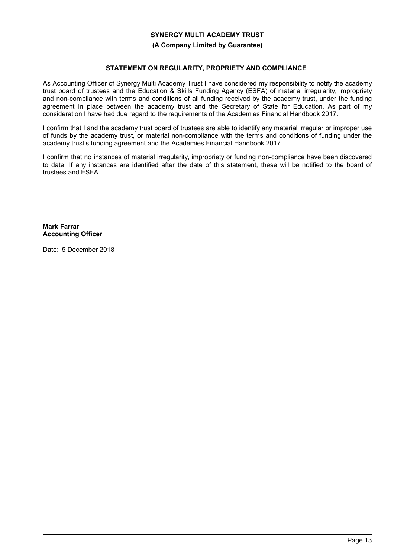### **(A Company Limited by Guarantee)**

### **STATEMENT ON REGULARITY, PROPRIETY AND COMPLIANCE**

As Accounting Officer of Synergy Multi Academy Trust I have considered my responsibility to notify the academy trust board of trustees and the Education & Skills Funding Agency (ESFA) of material irregularity, impropriety and non-compliance with terms and conditions of all funding received by the academy trust, under the funding agreement in place between the academy trust and the Secretary of State for Education. As part of my consideration I have had due regard to the requirements of the Academies Financial Handbook 2017.

I confirm that I and the academy trust board of trustees are able to identify any material irregular or improper use of funds by the academy trust, or material non-compliance with the terms and conditions of funding under the academy trust's funding agreement and the Academies Financial Handbook 2017.

I confirm that no instances of material irregularity, impropriety or funding non-compliance have been discovered to date. If any instances are identified after the date of this statement, these will be notified to the board of trustees and ESFA.

**Mark Farrar Accounting Officer**

Date: 5 December 2018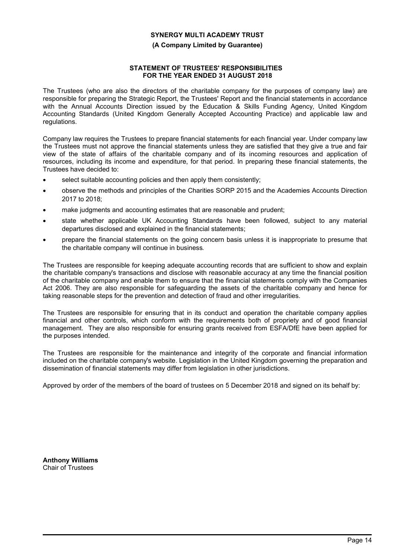### **(A Company Limited by Guarantee)**

### **STATEMENT OF TRUSTEES' RESPONSIBILITIES FOR THE YEAR ENDED 31 AUGUST 2018**

The Trustees (who are also the directors of the charitable company for the purposes of company law) are responsible for preparing the Strategic Report, the Trustees' Report and the financial statements in accordance with the Annual Accounts Direction issued by the Education & Skills Funding Agency, United Kingdom Accounting Standards (United Kingdom Generally Accepted Accounting Practice) and applicable law and regulations.

Company law requires the Trustees to prepare financial statements for each financial year. Under company law the Trustees must not approve the financial statements unless they are satisfied that they give a true and fair view of the state of affairs of the charitable company and of its incoming resources and application of resources, including its income and expenditure, for that period. In preparing these financial statements, the Trustees have decided to:

- select suitable accounting policies and then apply them consistently;
- observe the methods and principles of the Charities SORP 2015 and the Academies Accounts Direction 2017 to 2018;
- make judgments and accounting estimates that are reasonable and prudent;
- state whether applicable UK Accounting Standards have been followed, subject to any material departures disclosed and explained in the financial statements;
- prepare the financial statements on the going concern basis unless it is inappropriate to presume that the charitable company will continue in business.

The Trustees are responsible for keeping adequate accounting records that are sufficient to show and explain the charitable company's transactions and disclose with reasonable accuracy at any time the financial position of the charitable company and enable them to ensure that the financial statements comply with the Companies Act 2006. They are also responsible for safeguarding the assets of the charitable company and hence for taking reasonable steps for the prevention and detection of fraud and other irregularities.

The Trustees are responsible for ensuring that in its conduct and operation the charitable company applies financial and other controls, which conform with the requirements both of propriety and of good financial management. They are also responsible for ensuring grants received from ESFA/DfE have been applied for the purposes intended.

The Trustees are responsible for the maintenance and integrity of the corporate and financial information included on the charitable company's website. Legislation in the United Kingdom governing the preparation and dissemination of financial statements may differ from legislation in other jurisdictions.

Approved by order of the members of the board of trustees on 5 December 2018 and signed on its behalf by:

**Anthony Williams** Chair of Trustees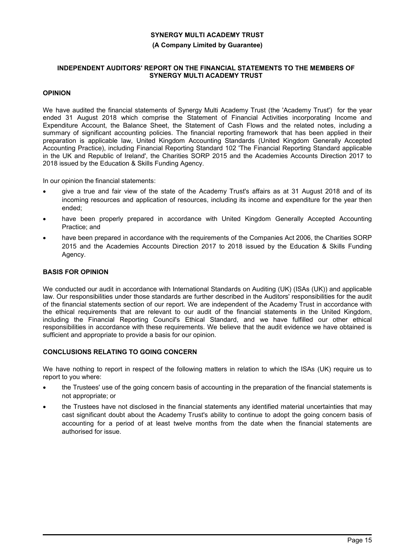#### **(A Company Limited by Guarantee)**

### **INDEPENDENT AUDITORS' REPORT ON THE FINANCIAL STATEMENTS TO THE MEMBERS OF SYNERGY MULTI ACADEMY TRUST**

### **OPINION**

We have audited the financial statements of Synergy Multi Academy Trust (the 'Academy Trust') for the year ended 31 August 2018 which comprise the Statement of Financial Activities incorporating Income and Expenditure Account, the Balance Sheet, the Statement of Cash Flows and the related notes, including a summary of significant accounting policies. The financial reporting framework that has been applied in their preparation is applicable law, United Kingdom Accounting Standards (United Kingdom Generally Accepted Accounting Practice), including Financial Reporting Standard 102 'The Financial Reporting Standard applicable in the UK and Republic of Ireland', the Charities SORP 2015 and the Academies Accounts Direction 2017 to 2018 issued by the Education & Skills Funding Agency.

In our opinion the financial statements:

- give a true and fair view of the state of the Academy Trust's affairs as at 31 August 2018 and of its incoming resources and application of resources, including its income and expenditure for the year then ended;
- have been properly prepared in accordance with United Kingdom Generally Accepted Accounting Practice; and
- have been prepared in accordance with the requirements of the Companies Act 2006, the Charities SORP 2015 and the Academies Accounts Direction 2017 to 2018 issued by the Education & Skills Funding Agency.

### **BASIS FOR OPINION**

We conducted our audit in accordance with International Standards on Auditing (UK) (ISAs (UK)) and applicable law. Our responsibilities under those standards are further described in the Auditors' responsibilities for the audit of the financial statements section of our report. We are independent of the Academy Trust in accordance with the ethical requirements that are relevant to our audit of the financial statements in the United Kingdom, including the Financial Reporting Council's Ethical Standard, and we have fulfilled our other ethical responsibilities in accordance with these requirements. We believe that the audit evidence we have obtained is sufficient and appropriate to provide a basis for our opinion.

### **CONCLUSIONS RELATING TO GOING CONCERN**

We have nothing to report in respect of the following matters in relation to which the ISAs (UK) require us to report to you where:

- the Trustees' use of the going concern basis of accounting in the preparation of the financial statements is not appropriate; or
- the Trustees have not disclosed in the financial statements any identified material uncertainties that may cast significant doubt about the Academy Trust's ability to continue to adopt the going concern basis of accounting for a period of at least twelve months from the date when the financial statements are authorised for issue.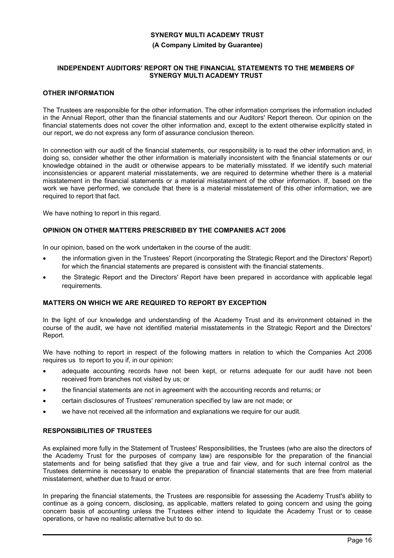### **(A Company Limited by Guarantee)**

### **INDEPENDENT AUDITORS' REPORT ON THE FINANCIAL STATEMENTS TO THE MEMBERS OF SYNERGY MULTI ACADEMY TRUST**

### **OTHER INFORMATION**

The Trustees are responsible for the other information. The other information comprises the information included in the Annual Report, other than the financial statements and our Auditors' Report thereon. Our opinion on the financial statements does not cover the other information and, except to the extent otherwise explicitly stated in our report, we do not express any form of assurance conclusion thereon.

In connection with our audit of the financial statements, our responsibility is to read the other information and, in doing so, consider whether the other information is materially inconsistent with the financial statements or our knowledge obtained in the audit or otherwise appears to be materially misstated. If we identify such material inconsistencies or apparent material misstatements, we are required to determine whether there is a material misstatement in the financial statements or a material misstatement of the other information. If, based on the work we have performed, we conclude that there is a material misstatement of this other information, we are required to report that fact.

We have nothing to report in this regard.

### **OPINION ON OTHER MATTERS PRESCRIBED BY THE COMPANIES ACT 2006**

In our opinion, based on the work undertaken in the course of the audit:

- the information given in the Trustees' Report (incorporating the Strategic Report and the Directors' Report) for which the financial statements are prepared is consistent with the financial statements.
- the Strategic Report and the Directors' Report have been prepared in accordance with applicable legal requirements.

### **MATTERS ON WHICH WE ARE REQUIRED TO REPORT BY EXCEPTION**

In the light of our knowledge and understanding of the Academy Trust and its environment obtained in the course of the audit, we have not identified material misstatements in the Strategic Report and the Directors' Report.

We have nothing to report in respect of the following matters in relation to which the Companies Act 2006 requires us to report to you if, in our opinion:

- adequate accounting records have not been kept, or returns adequate for our audit have not been received from branches not visited by us; or
- the financial statements are not in agreement with the accounting records and returns; or
- certain disclosures of Trustees' remuneration specified by law are not made; or
- we have not received all the information and explanations we require for our audit.

### **RESPONSIBILITIES OF TRUSTEES**

As explained more fully in the Statement of Trustees' Responsibilities, the Trustees (who are also the directors of the Academy Trust for the purposes of company law) are responsible for the preparation of the financial statements and for being satisfied that they give a true and fair view, and for such internal control as the Trustees determine is necessary to enable the preparation of financial statements that are free from material misstatement, whether due to fraud or error.

In preparing the financial statements, the Trustees are responsible for assessing the Academy Trust's ability to continue as a going concern, disclosing, as applicable, matters related to going concern and using the going concern basis of accounting unless the Trustees either intend to liquidate the Academy Trust or to cease operations, or have no realistic alternative but to do so.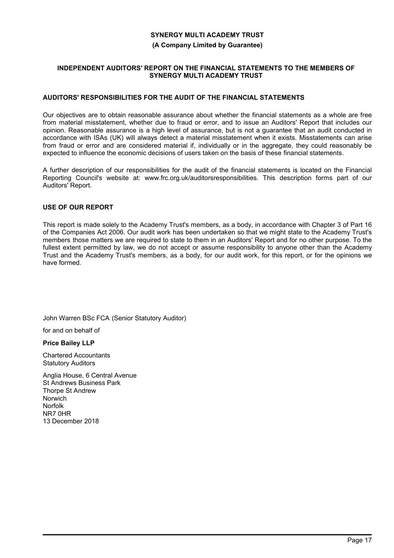#### **(A Company Limited by Guarantee)**

### **INDEPENDENT AUDITORS' REPORT ON THE FINANCIAL STATEMENTS TO THE MEMBERS OF SYNERGY MULTI ACADEMY TRUST**

### **AUDITORS' RESPONSIBILITIES FOR THE AUDIT OF THE FINANCIAL STATEMENTS**

Our objectives are to obtain reasonable assurance about whether the financial statements as a whole are free from material misstatement, whether due to fraud or error, and to issue an Auditors' Report that includes our opinion. Reasonable assurance is a high level of assurance, but is not a guarantee that an audit conducted in accordance with ISAs (UK) will always detect a material misstatement when it exists. Misstatements can arise from fraud or error and are considered material if, individually or in the aggregate, they could reasonably be expected to influence the economic decisions of users taken on the basis of these financial statements.

A further description of our responsibilities for the audit of the financial statements is located on the Financial Reporting Council's website at: www.frc.org.uk/auditorsresponsibilities. This description forms part of our Auditors' Report.

### **USE OF OUR REPORT**

This report is made solely to the Academy Trust's members, as a body, in accordance with Chapter 3 of Part 16 of the Companies Act 2006. Our audit work has been undertaken so that we might state to the Academy Trust's members those matters we are required to state to them in an Auditors' Report and for no other purpose. To the fullest extent permitted by law, we do not accept or assume responsibility to anyone other than the Academy Trust and the Academy Trust's members, as a body, for our audit work, for this report, or for the opinions we have formed.

John Warren BSc FCA (Senior Statutory Auditor)

for and on behalf of

**Price Bailey LLP**

Chartered Accountants Statutory Auditors

Anglia House, 6 Central Avenue St Andrews Business Park Thorpe St Andrew Norwich Norfolk NR7 0HR 13 December 2018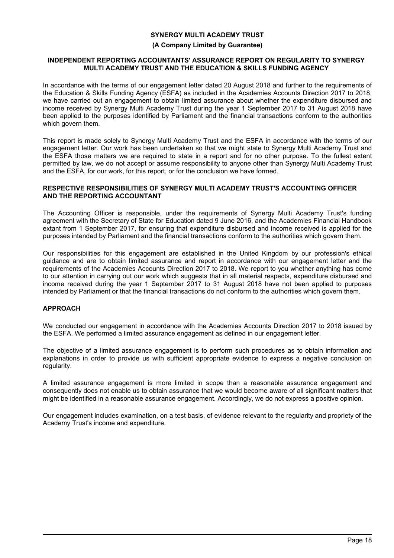#### **(A Company Limited by Guarantee)**

### **INDEPENDENT REPORTING ACCOUNTANTS' ASSURANCE REPORT ON REGULARITY TO SYNERGY MULTI ACADEMY TRUST AND THE EDUCATION & SKILLS FUNDING AGENCY**

In accordance with the terms of our engagement letter dated 20 August 2018 and further to the requirements of the Education & Skills Funding Agency (ESFA) as included in the Academies Accounts Direction 2017 to 2018, we have carried out an engagement to obtain limited assurance about whether the expenditure disbursed and income received by Synergy Multi Academy Trust during the year 1 September 2017 to 31 August 2018 have been applied to the purposes identified by Parliament and the financial transactions conform to the authorities which govern them.

This report is made solely to Synergy Multi Academy Trust and the ESFA in accordance with the terms of our engagement letter. Our work has been undertaken so that we might state to Synergy Multi Academy Trust and the ESFA those matters we are required to state in a report and for no other purpose. To the fullest extent permitted by law, we do not accept or assume responsibility to anyone other than Synergy Multi Academy Trust and the ESFA, for our work, for this report, or for the conclusion we have formed.

#### **RESPECTIVE RESPONSIBILITIES OF SYNERGY MULTI ACADEMY TRUST'S ACCOUNTING OFFICER AND THE REPORTING ACCOUNTANT**

The Accounting Officer is responsible, under the requirements of Synergy Multi Academy Trust's funding agreement with the Secretary of State for Education dated 9 June 2016, and the Academies Financial Handbook extant from 1 September 2017, for ensuring that expenditure disbursed and income received is applied for the purposes intended by Parliament and the financial transactions conform to the authorities which govern them.

Our responsibilities for this engagement are established in the United Kingdom by our profession's ethical guidance and are to obtain limited assurance and report in accordance with our engagement letter and the requirements of the Academies Accounts Direction 2017 to 2018. We report to you whether anything has come to our attention in carrying out our work which suggests that in all material respects, expenditure disbursed and income received during the year 1 September 2017 to 31 August 2018 have not been applied to purposes intended by Parliament or that the financial transactions do not conform to the authorities which govern them.

### **APPROACH**

We conducted our engagement in accordance with the Academies Accounts Direction 2017 to 2018 issued by the ESFA. We performed a limited assurance engagement as defined in our engagement letter.

The objective of a limited assurance engagement is to perform such procedures as to obtain information and explanations in order to provide us with sufficient appropriate evidence to express a negative conclusion on regularity.

A limited assurance engagement is more limited in scope than a reasonable assurance engagement and consequently does not enable us to obtain assurance that we would become aware of all significant matters that might be identified in a reasonable assurance engagement. Accordingly, we do not express a positive opinion.

Our engagement includes examination, on a test basis, of evidence relevant to the regularity and propriety of the Academy Trust's income and expenditure.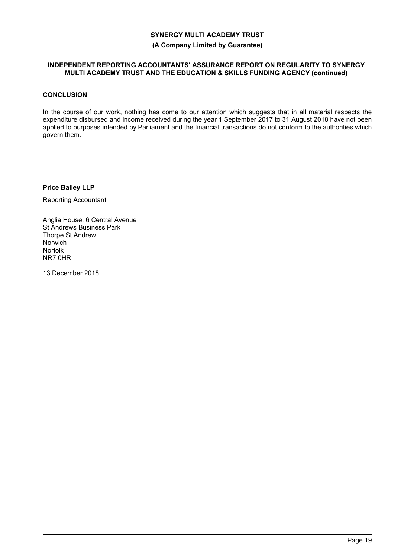**(A Company Limited by Guarantee)**

### **INDEPENDENT REPORTING ACCOUNTANTS' ASSURANCE REPORT ON REGULARITY TO SYNERGY MULTI ACADEMY TRUST AND THE EDUCATION & SKILLS FUNDING AGENCY (continued)**

### **CONCLUSION**

In the course of our work, nothing has come to our attention which suggests that in all material respects the expenditure disbursed and income received during the year 1 September 2017 to 31 August 2018 have not been applied to purposes intended by Parliament and the financial transactions do not conform to the authorities which govern them.

**Price Bailey LLP**

Reporting Accountant

Anglia House, 6 Central Avenue St Andrews Business Park Thorpe St Andrew Norwich Norfolk NR7 0HR

13 December 2018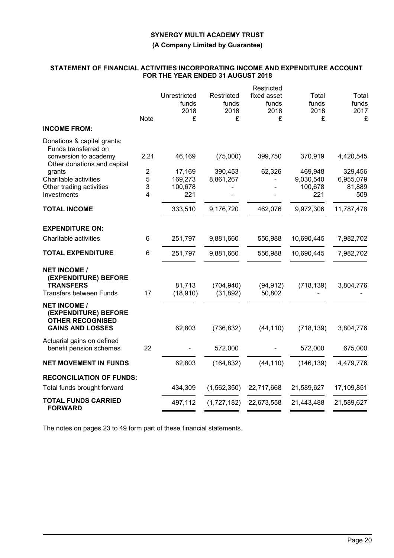### **(A Company Limited by Guarantee)**

### **STATEMENT OF FINANCIAL ACTIVITIES INCORPORATING INCOME AND EXPENDITURE ACCOUNT FOR THE YEAR ENDED 31 AUGUST 2018**

|                                                                        |             |              |             | Restricted  |            |            |
|------------------------------------------------------------------------|-------------|--------------|-------------|-------------|------------|------------|
|                                                                        |             | Unrestricted | Restricted  | fixed asset | Total      | Total      |
|                                                                        |             | funds        | funds       | funds       | funds      | funds      |
|                                                                        |             | 2018         | 2018        | 2018        | 2018       | 2017       |
|                                                                        | <b>Note</b> | £            | £           | £           | £          | £          |
| <b>INCOME FROM:</b>                                                    |             |              |             |             |            |            |
| Donations & capital grants:<br>Funds transferred on                    |             |              |             |             |            |            |
| conversion to academy<br>Other donations and capital                   | 2,21        | 46,169       | (75,000)    | 399,750     | 370,919    | 4,420,545  |
| grants                                                                 | 2           | 17,169       | 390,453     | 62,326      | 469,948    | 329,456    |
| Charitable activities                                                  | 5           | 169,273      | 8,861,267   |             | 9,030,540  | 6,955,079  |
| Other trading activities                                               | 3           | 100,678      |             |             | 100,678    | 81,889     |
| Investments                                                            | 4           | 221          |             |             | 221        | 509        |
| <b>TOTAL INCOME</b>                                                    |             | 333,510      | 9,176,720   | 462,076     | 9,972,306  | 11,787,478 |
| <b>EXPENDITURE ON:</b>                                                 |             |              |             |             |            |            |
| Charitable activities                                                  | 6           | 251,797      | 9,881,660   | 556,988     | 10,690,445 | 7,982,702  |
| <b>TOTAL EXPENDITURE</b>                                               | 6           | 251,797      | 9,881,660   | 556,988     | 10,690,445 | 7,982,702  |
| <b>NET INCOME /</b><br>(EXPENDITURE) BEFORE<br><b>TRANSFERS</b>        |             | 81,713       | (704, 940)  | (94, 912)   | (718, 139) | 3,804,776  |
| <b>Transfers between Funds</b>                                         | 17          | (18, 910)    | (31, 892)   | 50,802      |            |            |
| <b>NET INCOME /</b><br>(EXPENDITURE) BEFORE<br><b>OTHER RECOGNISED</b> |             |              |             |             |            |            |
| <b>GAINS AND LOSSES</b>                                                |             | 62,803       | (736, 832)  | (44, 110)   | (718, 139) | 3,804,776  |
| Actuarial gains on defined<br>benefit pension schemes                  | 22          |              | 572,000     |             | 572,000    | 675,000    |
| <b>NET MOVEMENT IN FUNDS</b>                                           |             | 62,803       | (164, 832)  | (44, 110)   | (146, 139) | 4,479,776  |
| <b>RECONCILIATION OF FUNDS:</b>                                        |             |              |             |             |            |            |
| Total funds brought forward                                            |             | 434,309      | (1,562,350) | 22,717,668  | 21,589,627 | 17,109,851 |
| <b>TOTAL FUNDS CARRIED</b><br><b>FORWARD</b>                           |             | 497,112      | (1,727,182) | 22,673,558  | 21,443,488 | 21,589,627 |
|                                                                        |             |              |             |             |            |            |

The notes on pages 23 to 49 form part of these financial statements.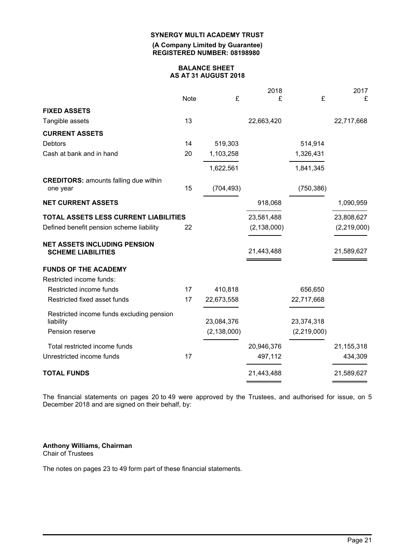**(A Company Limited by Guarantee) REGISTERED NUMBER: 08198980**

#### **BALANCE SHEET AS AT 31 AUGUST 2018**

|                                                                  |      |               | 2018          |             | 2017         |
|------------------------------------------------------------------|------|---------------|---------------|-------------|--------------|
|                                                                  | Note | £             | £             | £           | £            |
| <b>FIXED ASSETS</b>                                              |      |               |               |             |              |
| Tangible assets                                                  | 13   |               | 22,663,420    |             | 22,717,668   |
| <b>CURRENT ASSETS</b>                                            |      |               |               |             |              |
| <b>Debtors</b>                                                   | 14   | 519,303       |               | 514,914     |              |
| Cash at bank and in hand                                         | 20   | 1,103,258     |               | 1,326,431   |              |
|                                                                  |      | 1,622,561     |               | 1,841,345   |              |
| <b>CREDITORS: amounts falling due within</b><br>one year         | 15   | (704, 493)    |               | (750, 386)  |              |
| <b>NET CURRENT ASSETS</b>                                        |      |               | 918,068       |             | 1,090,959    |
| TOTAL ASSETS LESS CURRENT LIABILITIES                            |      |               | 23,581,488    |             | 23,808,627   |
| Defined benefit pension scheme liability                         | 22   |               | (2, 138, 000) |             | (2,219,000)  |
| <b>NET ASSETS INCLUDING PENSION</b><br><b>SCHEME LIABILITIES</b> |      |               | 21,443,488    |             | 21,589,627   |
| <b>FUNDS OF THE ACADEMY</b>                                      |      |               |               |             |              |
| Restricted income funds:                                         |      |               |               |             |              |
| Restricted income funds                                          | 17   | 410,818       |               | 656,650     |              |
| Restricted fixed asset funds                                     | 17   | 22,673,558    |               | 22,717,668  |              |
| Restricted income funds excluding pension                        |      |               |               |             |              |
| liability                                                        |      | 23,084,376    |               | 23,374,318  |              |
| Pension reserve                                                  |      | (2, 138, 000) |               | (2,219,000) |              |
| Total restricted income funds                                    |      |               | 20,946,376    |             | 21, 155, 318 |
| Unrestricted income funds                                        | 17   |               | 497,112       |             | 434,309      |
| <b>TOTAL FUNDS</b>                                               |      |               | 21,443,488    |             | 21,589,627   |
|                                                                  |      |               |               |             |              |

The financial statements on pages 20 to 49 were approved by the Trustees, and authorised for issue, on 5 December 2018 and are signed on their behalf, by:

#### **Anthony Williams, Chairman** Chair of Trustees

The notes on pages 23 to 49 form part of these financial statements.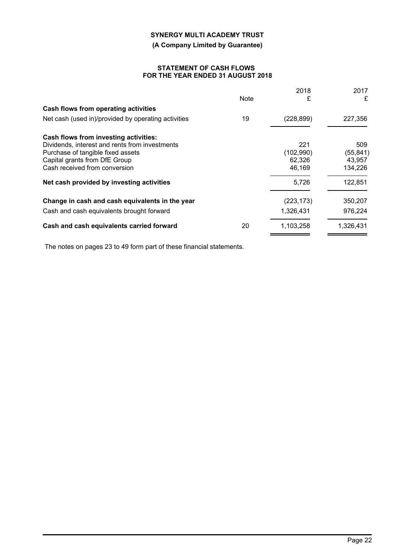**(A Company Limited by Guarantee)**

### **STATEMENT OF CASH FLOWS FOR THE YEAR ENDED 31 AUGUST 2018**

|                                                     |      | 2018       | 2017      |
|-----------------------------------------------------|------|------------|-----------|
|                                                     | Note | £          | £         |
| Cash flows from operating activities                |      |            |           |
| Net cash (used in)/provided by operating activities | 19   | (228, 899) | 227,356   |
| Cash flows from investing activities:               |      |            |           |
| Dividends, interest and rents from investments      |      | 221        | 509       |
| Purchase of tangible fixed assets                   |      | (102, 990) | (55, 841) |
| Capital grants from DfE Group                       |      | 62,326     | 43,957    |
| Cash received from conversion                       |      | 46,169     | 134,226   |
| Net cash provided by investing activities           |      | 5,726      | 122,851   |
| Change in cash and cash equivalents in the year     |      | (223, 173) | 350,207   |
| Cash and cash equivalents brought forward           |      | 1,326,431  | 976,224   |
| Cash and cash equivalents carried forward           | 20   | 1,103,258  | 1,326,431 |
|                                                     |      |            |           |

The notes on pages 23 to 49 form part of these financial statements.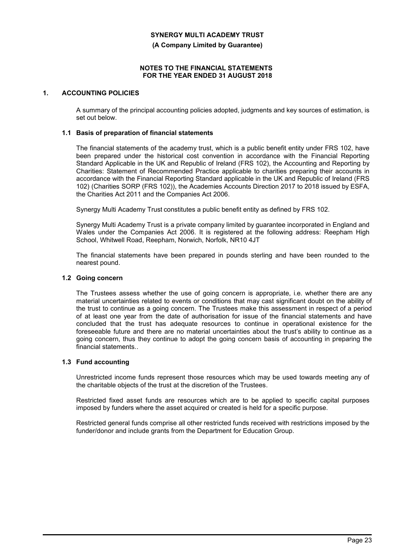**(A Company Limited by Guarantee)**

#### **NOTES TO THE FINANCIAL STATEMENTS FOR THE YEAR ENDED 31 AUGUST 2018**

### **1. ACCOUNTING POLICIES**

A summary of the principal accounting policies adopted, judgments and key sources of estimation, is set out below.

#### **1.1 Basis of preparation of financial statements**

The financial statements of the academy trust, which is a public benefit entity under FRS 102, have been prepared under the historical cost convention in accordance with the Financial Reporting Standard Applicable in the UK and Republic of Ireland (FRS 102), the Accounting and Reporting by Charities: Statement of Recommended Practice applicable to charities preparing their accounts in accordance with the Financial Reporting Standard applicable in the UK and Republic of Ireland (FRS 102) (Charities SORP (FRS 102)), the Academies Accounts Direction 2017 to 2018 issued by ESFA, the Charities Act 2011 and the Companies Act 2006.

Synergy Multi Academy Trust constitutes a public benefit entity as defined by FRS 102.

Synergy Multi Academy Trust is a private company limited by guarantee incorporated in England and Wales under the Companies Act 2006. It is registered at the following address: Reepham High School, Whitwell Road, Reepham, Norwich, Norfolk, NR10 4JT

The financial statements have been prepared in pounds sterling and have been rounded to the nearest pound.

#### **1.2 Going concern**

The Trustees assess whether the use of going concern is appropriate, i.e. whether there are any material uncertainties related to events or conditions that may cast significant doubt on the ability of the trust to continue as a going concern. The Trustees make this assessment in respect of a period of at least one year from the date of authorisation for issue of the financial statements and have concluded that the trust has adequate resources to continue in operational existence for the foreseeable future and there are no material uncertainties about the trust's ability to continue as a going concern, thus they continue to adopt the going concern basis of accounting in preparing the financial statements..

#### **1.3 Fund accounting**

Unrestricted income funds represent those resources which may be used towards meeting any of the charitable objects of the trust at the discretion of the Trustees.

Restricted fixed asset funds are resources which are to be applied to specific capital purposes imposed by funders where the asset acquired or created is held for a specific purpose.

Restricted general funds comprise all other restricted funds received with restrictions imposed by the funder/donor and include grants from the Department for Education Group.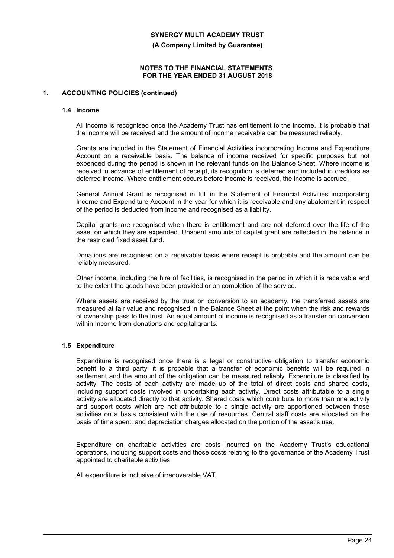**(A Company Limited by Guarantee)**

### **NOTES TO THE FINANCIAL STATEMENTS FOR THE YEAR ENDED 31 AUGUST 2018**

### **1. ACCOUNTING POLICIES (continued)**

#### **1.4 Income**

All income is recognised once the Academy Trust has entitlement to the income, it is probable that the income will be received and the amount of income receivable can be measured reliably.

Grants are included in the Statement of Financial Activities incorporating Income and Expenditure Account on a receivable basis. The balance of income received for specific purposes but not expended during the period is shown in the relevant funds on the Balance Sheet. Where income is received in advance of entitlement of receipt, its recognition is deferred and included in creditors as deferred income. Where entitlement occurs before income is received, the income is accrued.

General Annual Grant is recognised in full in the Statement of Financial Activities incorporating Income and Expenditure Account in the year for which it is receivable and any abatement in respect of the period is deducted from income and recognised as a liability.

Capital grants are recognised when there is entitlement and are not deferred over the life of the asset on which they are expended. Unspent amounts of capital grant are reflected in the balance in the restricted fixed asset fund.

Donations are recognised on a receivable basis where receipt is probable and the amount can be reliably measured.

Other income, including the hire of facilities, is recognised in the period in which it is receivable and to the extent the goods have been provided or on completion of the service.

Where assets are received by the trust on conversion to an academy, the transferred assets are measured at fair value and recognised in the Balance Sheet at the point when the risk and rewards of ownership pass to the trust. An equal amount of income is recognised as a transfer on conversion within Income from donations and capital grants.

### **1.5 Expenditure**

Expenditure is recognised once there is a legal or constructive obligation to transfer economic benefit to a third party, it is probable that a transfer of economic benefits will be required in settlement and the amount of the obligation can be measured reliably. Expenditure is classified by activity. The costs of each activity are made up of the total of direct costs and shared costs, including support costs involved in undertaking each activity. Direct costs attributable to a single activity are allocated directly to that activity. Shared costs which contribute to more than one activity and support costs which are not attributable to a single activity are apportioned between those activities on a basis consistent with the use of resources. Central staff costs are allocated on the basis of time spent, and depreciation charges allocated on the portion of the asset's use.

Expenditure on charitable activities are costs incurred on the Academy Trust's educational operations, including support costs and those costs relating to the governance of the Academy Trust appointed to charitable activities.

All expenditure is inclusive of irrecoverable VAT.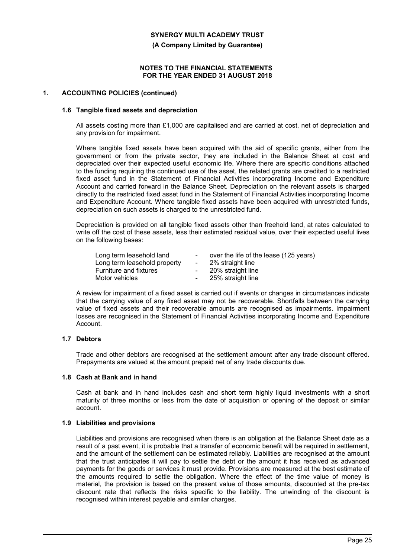**(A Company Limited by Guarantee)**

#### **NOTES TO THE FINANCIAL STATEMENTS FOR THE YEAR ENDED 31 AUGUST 2018**

#### **1. ACCOUNTING POLICIES (continued)**

#### **1.6 Tangible fixed assets and depreciation**

All assets costing more than £1,000 are capitalised and are carried at cost, net of depreciation and any provision for impairment.

Where tangible fixed assets have been acquired with the aid of specific grants, either from the government or from the private sector, they are included in the Balance Sheet at cost and depreciated over their expected useful economic life. Where there are specific conditions attached to the funding requiring the continued use of the asset, the related grants are credited to a restricted fixed asset fund in the Statement of Financial Activities incorporating Income and Expenditure Account and carried forward in the Balance Sheet. Depreciation on the relevant assets is charged directly to the restricted fixed asset fund in the Statement of Financial Activities incorporating Income and Expenditure Account. Where tangible fixed assets have been acquired with unrestricted funds, depreciation on such assets is charged to the unrestricted fund.

Depreciation is provided on all tangible fixed assets other than freehold land, at rates calculated to write off the cost of these assets, less their estimated residual value, over their expected useful lives on the following bases:

| Long term leasehold land      | $\sim$ | over the life of the lease (125 years) |
|-------------------------------|--------|----------------------------------------|
| Long term leasehold property  | $\sim$ | 2% straight line                       |
| <b>Furniture and fixtures</b> |        | 20% straight line                      |
| Motor vehicles                |        | 25% straight line                      |

A review for impairment of a fixed asset is carried out if events or changes in circumstances indicate that the carrying value of any fixed asset may not be recoverable. Shortfalls between the carrying value of fixed assets and their recoverable amounts are recognised as impairments. Impairment losses are recognised in the Statement of Financial Activities incorporating Income and Expenditure Account.

### **1.7 Debtors**

Trade and other debtors are recognised at the settlement amount after any trade discount offered. Prepayments are valued at the amount prepaid net of any trade discounts due.

#### **1.8 Cash at Bank and in hand**

Cash at bank and in hand includes cash and short term highly liquid investments with a short maturity of three months or less from the date of acquisition or opening of the deposit or similar account.

#### **1.9 Liabilities and provisions**

Liabilities and provisions are recognised when there is an obligation at the Balance Sheet date as a result of a past event, it is probable that a transfer of economic benefit will be required in settlement, and the amount of the settlement can be estimated reliably. Liabilities are recognised at the amount that the trust anticipates it will pay to settle the debt or the amount it has received as advanced payments for the goods or services it must provide. Provisions are measured at the best estimate of the amounts required to settle the obligation. Where the effect of the time value of money is material, the provision is based on the present value of those amounts, discounted at the pre-tax discount rate that reflects the risks specific to the liability. The unwinding of the discount is recognised within interest payable and similar charges.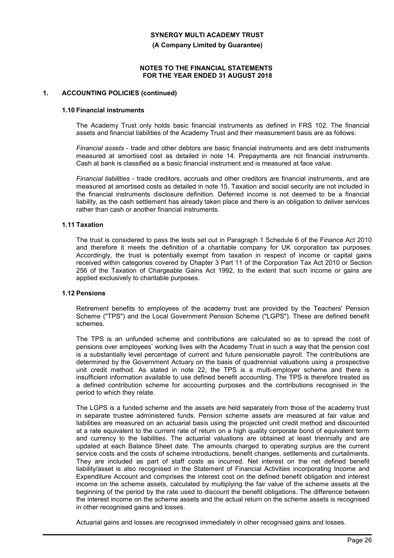**(A Company Limited by Guarantee)**

#### **NOTES TO THE FINANCIAL STATEMENTS FOR THE YEAR ENDED 31 AUGUST 2018**

#### **1. ACCOUNTING POLICIES (continued)**

#### **1.10 Financial instruments**

The Academy Trust only holds basic financial instruments as defined in FRS 102. The financial assets and financial liabilities of the Academy Trust and their measurement basis are as follows:

*Financial assets* - trade and other debtors are basic financial instruments and are debt instruments measured at amortised cost as detailed in note 14. Prepayments are not financial instruments. Cash at bank is classified as a basic financial instrument and is measured at face value.

*Financial liabilities* - trade creditors, accruals and other creditors are financial instruments, and are measured at amortised costs as detailed in note 15. Taxation and social security are not included in the financial instruments disclosure definition. Deferred income is not deemed to be a financial liability, as the cash settlement has already taken place and there is an obligation to deliver services rather than cash or another financial instruments.

#### **1.11 Taxation**

The trust is considered to pass the tests set out in Paragraph 1 Schedule 6 of the Finance Act 2010 and therefore it meets the definition of a charitable company for UK corporation tax purposes. Accordingly, the trust is potentially exempt from taxation in respect of income or capital gains received within categories covered by Chapter 3 Part 11 of the Corporation Tax Act 2010 or Section 256 of the Taxation of Chargeable Gains Act 1992, to the extent that such income or gains are applied exclusively to charitable purposes.

### **1.12 Pensions**

Retirement benefits to employees of the academy trust are provided by the Teachers' Pension Scheme ("TPS") and the Local Government Pension Scheme ("LGPS"). These are defined benefit schemes.

The TPS is an unfunded scheme and contributions are calculated so as to spread the cost of pensions over employees' working lives with the Academy Trust in such a way that the pension cost is a substantially level percentage of current and future pensionable payroll. The contributions are determined by the Government Actuary on the basis of quadrennial valuations using a prospective unit credit method. As stated in note 22, the TPS is a multi-employer scheme and there is insufficient information available to use defined benefit accounting. The TPS is therefore treated as a defined contribution scheme for accounting purposes and the contributions recognised in the period to which they relate.

The LGPS is a funded scheme and the assets are held separately from those of the academy trust in separate trustee administered funds. Pension scheme assets are measured at fair value and liabilities are measured on an actuarial basis using the projected unit credit method and discounted at a rate equivalent to the current rate of return on a high quality corporate bond of equivalent term and currency to the liabilities. The actuarial valuations are obtained at least triennially and are updated at each Balance Sheet date. The amounts charged to operating surplus are the current service costs and the costs of scheme introductions, benefit changes, settlements and curtailments. They are included as part of staff costs as incurred. Net interest on the net defined benefit liability/asset is also recognised in the Statement of Financial Activities incorporating Income and Expenditure Account and comprises the interest cost on the defined benefit obligation and interest income on the scheme assets, calculated by multiplying the fair value of the scheme assets at the beginning of the period by the rate used to discount the benefit obligations. The difference between the interest income on the scheme assets and the actual return on the scheme assets is recognised in other recognised gains and losses.

Actuarial gains and losses are recognised immediately in other recognised gains and losses.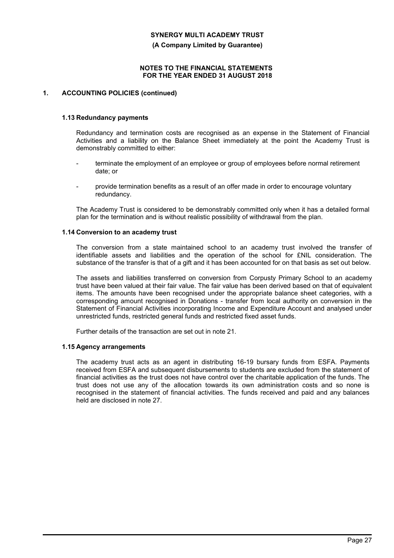**(A Company Limited by Guarantee)**

#### **NOTES TO THE FINANCIAL STATEMENTS FOR THE YEAR ENDED 31 AUGUST 2018**

### **1. ACCOUNTING POLICIES (continued)**

#### **1.13 Redundancy payments**

Redundancy and termination costs are recognised as an expense in the Statement of Financial Activities and a liability on the Balance Sheet immediately at the point the Academy Trust is demonstrably committed to either:

- terminate the employment of an employee or group of employees before normal retirement date; or
- provide termination benefits as a result of an offer made in order to encourage voluntary redundancy.

The Academy Trust is considered to be demonstrably committed only when it has a detailed formal plan for the termination and is without realistic possibility of withdrawal from the plan.

#### **1.14 Conversion to an academy trust**

The conversion from a state maintained school to an academy trust involved the transfer of identifiable assets and liabilities and the operation of the school for £NIL consideration. The substance of the transfer is that of a gift and it has been accounted for on that basis as set out below.

The assets and liabilities transferred on conversion from Corpusty Primary School to an academy trust have been valued at their fair value. The fair value has been derived based on that of equivalent items. The amounts have been recognised under the appropriate balance sheet categories, with a corresponding amount recognised in Donations - transfer from local authority on conversion in the Statement of Financial Activities incorporating Income and Expenditure Account and analysed under unrestricted funds, restricted general funds and restricted fixed asset funds.

Further details of the transaction are set out in note 21.

#### **1.15 Agency arrangements**

The academy trust acts as an agent in distributing 16-19 bursary funds from ESFA. Payments received from ESFA and subsequent disbursements to students are excluded from the statement of financial activities as the trust does not have control over the charitable application of the funds. The trust does not use any of the allocation towards its own administration costs and so none is recognised in the statement of financial activities. The funds received and paid and any balances held are disclosed in note 27.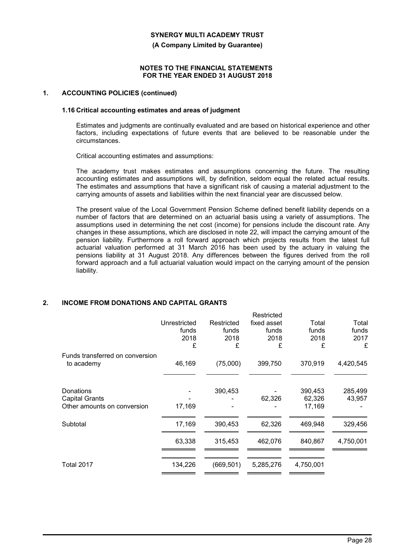**(A Company Limited by Guarantee)**

#### **NOTES TO THE FINANCIAL STATEMENTS FOR THE YEAR ENDED 31 AUGUST 2018**

#### **1. ACCOUNTING POLICIES (continued)**

#### **1.16 Critical accounting estimates and areas of judgment**

Estimates and judgments are continually evaluated and are based on historical experience and other factors, including expectations of future events that are believed to be reasonable under the circumstances.

Critical accounting estimates and assumptions:

The academy trust makes estimates and assumptions concerning the future. The resulting accounting estimates and assumptions will, by definition, seldom equal the related actual results. The estimates and assumptions that have a significant risk of causing a material adjustment to the carrying amounts of assets and liabilities within the next financial year are discussed below.

The present value of the Local Government Pension Scheme defined benefit liability depends on a number of factors that are determined on an actuarial basis using a variety of assumptions. The assumptions used in determining the net cost (income) for pensions include the discount rate. Any changes in these assumptions, which are disclosed in note 22, will impact the carrying amount of the pension liability. Furthermore a roll forward approach which projects results from the latest full actuarial valuation performed at 31 March 2016 has been used by the actuary in valuing the pensions liability at 31 August 2018. Any differences between the figures derived from the roll forward approach and a full actuarial valuation would impact on the carrying amount of the pension liability.

### **2. INCOME FROM DONATIONS AND CAPITAL GRANTS**

|                                                                   | Unrestricted<br>funds<br>2018<br>£ | Restricted<br>funds<br>2018<br>£ | Restricted<br>fixed asset<br>funds<br>2018<br>£ | Total<br>funds<br>2018<br>£ | Total<br>funds<br>2017<br>£ |
|-------------------------------------------------------------------|------------------------------------|----------------------------------|-------------------------------------------------|-----------------------------|-----------------------------|
| Funds transferred on conversion<br>to academy                     | 46,169                             | (75,000)                         | 399,750                                         | 370,919                     | 4,420,545                   |
| Donations<br><b>Capital Grants</b><br>Other amounts on conversion | 17,169                             | 390,453                          | 62,326                                          | 390,453<br>62,326<br>17,169 | 285,499<br>43,957           |
| Subtotal                                                          | 17,169                             | 390,453                          | 62,326                                          | 469,948                     | 329,456                     |
|                                                                   | 63,338                             | 315,453                          | 462,076                                         | 840,867                     | 4,750,001                   |
| Total 2017                                                        | 134,226                            | (669, 501)                       | 5,285,276                                       | 4,750,001                   |                             |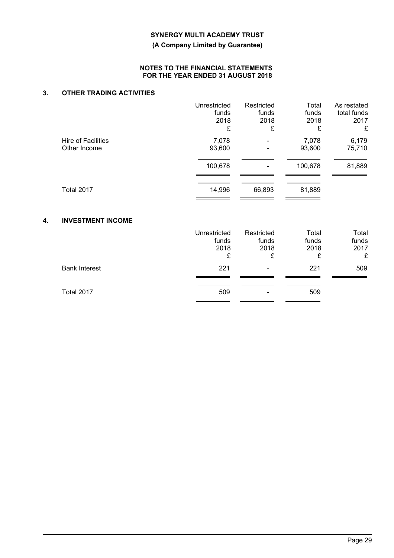**(A Company Limited by Guarantee)**

### **NOTES TO THE FINANCIAL STATEMENTS FOR THE YEAR ENDED 31 AUGUST 2018**

### **3. OTHER TRADING ACTIVITIES**

|                                           | Unrestricted<br>funds<br>2018<br>£ | Restricted<br>funds<br>2018<br>£ | Total<br>funds<br>2018<br>£ | As restated<br>total funds<br>2017<br>£ |
|-------------------------------------------|------------------------------------|----------------------------------|-----------------------------|-----------------------------------------|
| <b>Hire of Facilities</b><br>Other Income | 7,078<br>93,600                    |                                  | 7,078<br>93,600             | 6,179<br>75,710                         |
|                                           | 100,678                            |                                  | 100,678                     | 81,889                                  |
| <b>Total 2017</b>                         | 14,996                             | 66,893                           | 81,889                      |                                         |
| <b>INVESTMENT INCOME</b><br>4.            |                                    |                                  |                             |                                         |
|                                           | Unrestricted<br>funds<br>2018<br>£ | Restricted<br>funds<br>2018<br>£ | Total<br>funds<br>2018<br>£ | Total<br>funds<br>2017<br>£             |
| <b>Bank Interest</b>                      | 221                                |                                  | 221                         | 509                                     |
| <b>Total 2017</b>                         | 509                                |                                  | 509                         |                                         |

 $\equiv$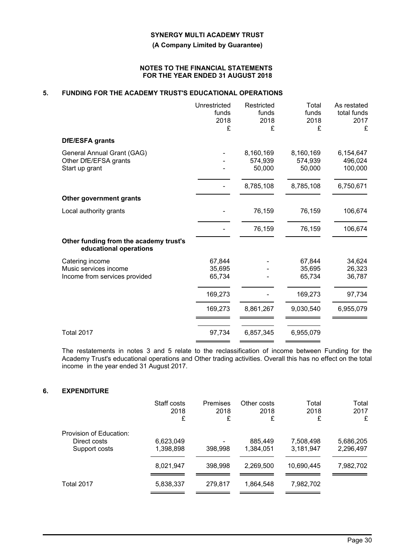**(A Company Limited by Guarantee)**

#### **NOTES TO THE FINANCIAL STATEMENTS FOR THE YEAR ENDED 31 AUGUST 2018**

### **5. FUNDING FOR THE ACADEMY TRUST'S EDUCATIONAL OPERATIONS**

|                                                                  | Unrestricted | Restricted | Total     | As restated |
|------------------------------------------------------------------|--------------|------------|-----------|-------------|
|                                                                  | funds        | funds      | funds     | total funds |
|                                                                  | 2018         | 2018       | 2018      | 2017        |
|                                                                  | £            | £          | £         | £           |
| DfE/ESFA grants                                                  |              |            |           |             |
| General Annual Grant (GAG)                                       |              | 8,160,169  | 8,160,169 | 6,154,647   |
| Other DfE/EFSA grants                                            |              | 574,939    | 574,939   | 496,024     |
| Start up grant                                                   |              | 50,000     | 50,000    | 100,000     |
|                                                                  |              | 8,785,108  | 8,785,108 | 6,750,671   |
| Other government grants                                          |              |            |           |             |
| Local authority grants                                           |              | 76,159     | 76,159    | 106,674     |
|                                                                  |              | 76,159     | 76,159    | 106,674     |
|                                                                  |              |            |           |             |
| Other funding from the academy trust's<br>educational operations |              |            |           |             |
| Catering income                                                  | 67,844       |            | 67,844    | 34,624      |
| Music services income                                            | 35,695       |            | 35,695    | 26,323      |
| Income from services provided                                    | 65,734       |            | 65,734    | 36,787      |
|                                                                  | 169,273      |            | 169,273   | 97,734      |
|                                                                  | 169,273      | 8,861,267  | 9,030,540 | 6,955,079   |
|                                                                  |              |            |           |             |
| <b>Total 2017</b>                                                | 97,734       | 6,857,345  | 6,955,079 |             |

The restatements in notes 3 and 5 relate to the reclassification of income between Funding for the Academy Trust's educational operations and Other trading activities. Overall this has no effect on the total income in the year ended 31 August 2017.

### **6. EXPENDITURE**

|                                                          | Staff costs<br>2018<br>£ | <b>Premises</b><br>2018<br>£ | Other costs<br>2018<br>£ | Total<br>2018<br>£     | Total<br>2017<br>£     |
|----------------------------------------------------------|--------------------------|------------------------------|--------------------------|------------------------|------------------------|
| Provision of Education:<br>Direct costs<br>Support costs | 6,623,049<br>1,398,898   | 398,998                      | 885,449<br>1,384,051     | 7,508,498<br>3,181,947 | 5,686,205<br>2,296,497 |
|                                                          | 8,021,947                | 398,998                      | 2,269,500                | 10,690,445             | 7,982,702              |
| Total 2017                                               | 5,838,337                | 279.817                      | 1.864.548                | 7,982,702              |                        |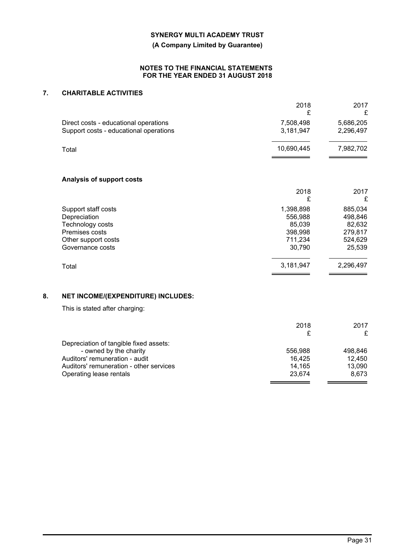**(A Company Limited by Guarantee)**

### **NOTES TO THE FINANCIAL STATEMENTS FOR THE YEAR ENDED 31 AUGUST 2018**

### **7. CHARITABLE ACTIVITIES**

|    |                                                                                                                      | 2018<br>£                                                      | 2017<br>£                                                    |
|----|----------------------------------------------------------------------------------------------------------------------|----------------------------------------------------------------|--------------------------------------------------------------|
|    | Direct costs - educational operations<br>Support costs - educational operations                                      | 7,508,498<br>3,181,947                                         | 5,686,205<br>2,296,497                                       |
|    | Total                                                                                                                | 10,690,445                                                     | 7,982,702                                                    |
|    | <b>Analysis of support costs</b>                                                                                     |                                                                |                                                              |
|    |                                                                                                                      | 2018<br>£                                                      | 2017<br>£                                                    |
|    | Support staff costs<br>Depreciation<br>Technology costs<br>Premises costs<br>Other support costs<br>Governance costs | 1,398,898<br>556,988<br>85,039<br>398,998<br>711,234<br>30,790 | 885,034<br>498,846<br>82,632<br>279,817<br>524,629<br>25,539 |
|    | Total                                                                                                                | 3,181,947                                                      | 2,296,497                                                    |
| 8. | NET INCOME/(EXPENDITURE) INCLUDES:                                                                                   |                                                                |                                                              |
|    | This is stated after charging:                                                                                       |                                                                |                                                              |
|    |                                                                                                                      | 2018<br>£                                                      | 2017<br>£                                                    |
|    | Depreciation of tangible fixed assets:<br>- owned by the charity                                                     | 556,988                                                        | 498,846                                                      |

Auditors' remuneration - audit 16,425<br>Auditors' remuneration - audit 16,425<br>Auditors' remuneration - other services 14,165 13,090 Auditors' remuneration - other services 14,165 13,090<br>Contracting lease rentals 15,090<br>23,674 8,673

Operating lease rentals

 $\overline{\phantom{0}}$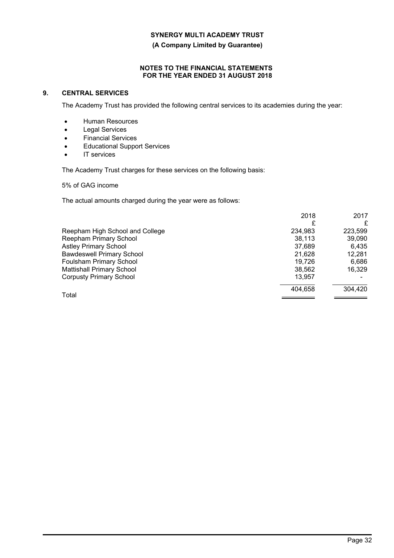**(A Company Limited by Guarantee)**

### **NOTES TO THE FINANCIAL STATEMENTS FOR THE YEAR ENDED 31 AUGUST 2018**

### **9. CENTRAL SERVICES**

The Academy Trust has provided the following central services to its academies during the year:

- Human Resources
- Legal Services
- Financial Services
- Educational Support Services
- IT services

The Academy Trust charges for these services on the following basis:

5% of GAG income

The actual amounts charged during the year were as follows:

|                                  | 2018    | 2017    |
|----------------------------------|---------|---------|
|                                  |         | £       |
| Reepham High School and College  | 234,983 | 223,599 |
| <b>Reepham Primary School</b>    | 38,113  | 39,090  |
| <b>Astley Primary School</b>     | 37.689  | 6.435   |
| <b>Bawdeswell Primary School</b> | 21.628  | 12,281  |
| Foulsham Primary School          | 19.726  | 6,686   |
| <b>Mattishall Primary School</b> | 38,562  | 16.329  |
| <b>Corpusty Primary School</b>   | 13,957  |         |
|                                  | 404.658 | 304,420 |
| Total                            |         |         |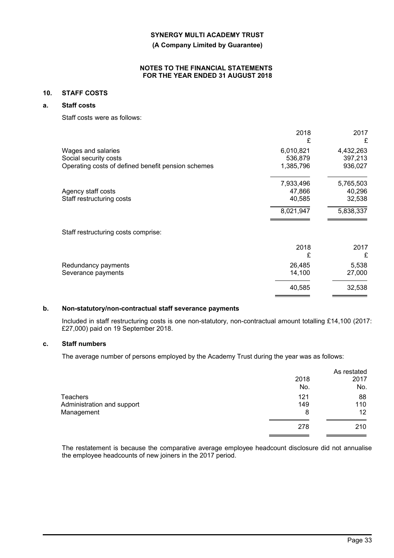**(A Company Limited by Guarantee)**

#### **NOTES TO THE FINANCIAL STATEMENTS FOR THE YEAR ENDED 31 AUGUST 2018**

### **10. STAFF COSTS**

### **a. Staff costs**

Staff costs were as follows:

|                                                                                                   | 2018<br>£                         | 2017<br>£                       |
|---------------------------------------------------------------------------------------------------|-----------------------------------|---------------------------------|
| Wages and salaries<br>Social security costs<br>Operating costs of defined benefit pension schemes | 6,010,821<br>536,879<br>1,385,796 | 4,432,263<br>397,213<br>936,027 |
| Agency staff costs<br>Staff restructuring costs                                                   | 7,933,496<br>47,866<br>40,585     | 5,765,503<br>40,296<br>32,538   |
|                                                                                                   | 8,021,947                         | 5,838,337                       |
| Staff restructuring costs comprise:                                                               |                                   |                                 |
|                                                                                                   | 2018<br>£                         | 2017<br>£                       |
| Redundancy payments<br>Severance payments                                                         | 26,485<br>14,100                  | 5,538<br>27,000                 |
|                                                                                                   | 40,585                            | 32,538                          |

### **b. Non-statutory/non-contractual staff severance payments**

Included in staff restructuring costs is one non-statutory, non-contractual amount totalling £14,100 (2017: £27,000) paid on 19 September 2018.

### **c. Staff numbers**

The average number of persons employed by the Academy Trust during the year was as follows:

|                            |      | As restated |
|----------------------------|------|-------------|
|                            | 2018 | 2017        |
|                            | No.  | No.         |
| Teachers                   | 121  | 88          |
| Administration and support | 149  | 110         |
| Management                 | 8    | 12          |
|                            | 278  | 210         |
|                            |      |             |

The restatement is because the comparative average employee headcount disclosure did not annualise the employee headcounts of new joiners in the 2017 period.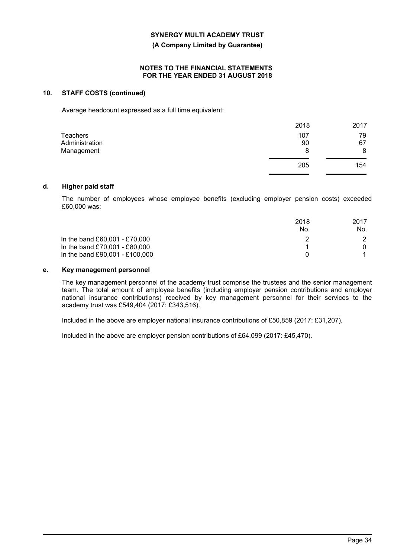**(A Company Limited by Guarantee)**

#### **NOTES TO THE FINANCIAL STATEMENTS FOR THE YEAR ENDED 31 AUGUST 2018**

### **10. STAFF COSTS (continued)**

Average headcount expressed as a full time equivalent:

|                | 2018 | 2017 |
|----------------|------|------|
| Teachers       | 107  | 79   |
| Administration | 90   | 67   |
| Management     | 8    | 8    |
|                | 205  | 154  |

#### **d. Higher paid staff**

The number of employees whose employee benefits (excluding employer pension costs) exceeded £60,000 was:

|                                | 2018 | 2017 |
|--------------------------------|------|------|
|                                | No.  | No.  |
| In the band £60,001 - £70,000  |      |      |
| In the band £70,001 - £80,000  |      |      |
| In the band £90,001 - £100,000 |      |      |

### **e. Key management personnel**

The key management personnel of the academy trust comprise the trustees and the senior management team. The total amount of employee benefits (including employer pension contributions and employer national insurance contributions) received by key management personnel for their services to the academy trust was £549,404 (2017: £343,516).

Included in the above are employer national insurance contributions of £50,859 (2017: £31,207).

Included in the above are employer pension contributions of £64,099 (2017: £45,470).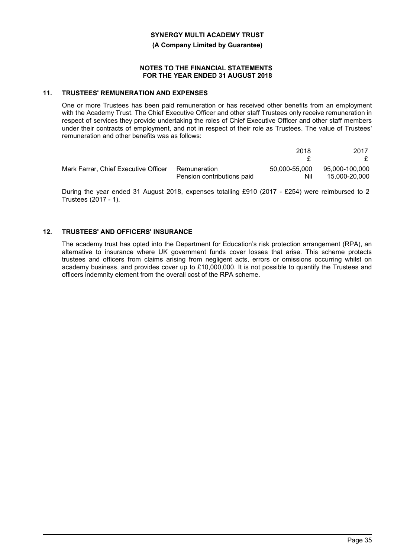**(A Company Limited by Guarantee)**

### **NOTES TO THE FINANCIAL STATEMENTS FOR THE YEAR ENDED 31 AUGUST 2018**

### **11. TRUSTEES' REMUNERATION AND EXPENSES**

One or more Trustees has been paid remuneration or has received other benefits from an employment with the Academy Trust. The Chief Executive Officer and other staff Trustees only receive remuneration in respect of services they provide undertaking the roles of Chief Executive Officer and other staff members under their contracts of employment, and not in respect of their role as Trustees. The value of Trustees' remuneration and other benefits was as follows:

|                                      |                            | 2018          | 2017           |
|--------------------------------------|----------------------------|---------------|----------------|
|                                      |                            |               |                |
| Mark Farrar, Chief Executive Officer | Remuneration               | 50.000-55.000 | 95.000-100.000 |
|                                      | Pension contributions paid | Nil           | 15,000-20,000  |

During the year ended 31 August 2018, expenses totalling £910 (2017 - £254) were reimbursed to 2 Trustees (2017 - 1).

### **12. TRUSTEES' AND OFFICERS' INSURANCE**

The academy trust has opted into the Department for Education's risk protection arrangement (RPA), an alternative to insurance where UK government funds cover losses that arise. This scheme protects trustees and officers from claims arising from negligent acts, errors or omissions occurring whilst on academy business, and provides cover up to £10,000,000. It is not possible to quantify the Trustees and officers indemnity element from the overall cost of the RPA scheme.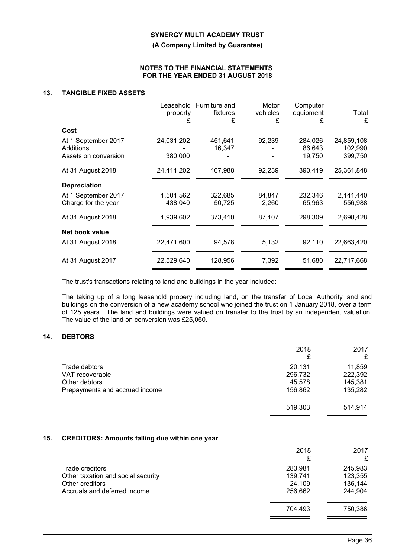**(A Company Limited by Guarantee)**

#### **NOTES TO THE FINANCIAL STATEMENTS FOR THE YEAR ENDED 31 AUGUST 2018**

### **13. TANGIBLE FIXED ASSETS**

| £ | Motor<br>Computer<br>equipment<br>£                                                                            | Total<br>£                                                                       |
|---|----------------------------------------------------------------------------------------------------------------|----------------------------------------------------------------------------------|
|   |                                                                                                                |                                                                                  |
|   | 284,026<br>86,643<br>19,750                                                                                    | 24,859,108<br>102,990<br>399,750                                                 |
|   | 390,419                                                                                                        | 25,361,848                                                                       |
|   |                                                                                                                |                                                                                  |
|   | 232,346<br>65,963                                                                                              | 2,141,440<br>556,988                                                             |
|   | 298,309                                                                                                        | 2,698,428                                                                        |
|   |                                                                                                                |                                                                                  |
|   | 92,110                                                                                                         | 22,663,420                                                                       |
|   | 51,680                                                                                                         | 22,717,668                                                                       |
|   | Furniture and<br>fixtures<br>451,641<br>16,347<br>467,988<br>322,685<br>50,725<br>373,410<br>94,578<br>128,956 | vehicles<br>£<br>92,239<br>92,239<br>84,847<br>2,260<br>87,107<br>5,132<br>7,392 |

The trust's transactions relating to land and buildings in the year included:

The taking up of a long leasehold propery including land, on the transfer of Local Authority land and buildings on the conversion of a new academy school who joined the trust on 1 January 2018, over a term of 125 years. The land and buildings were valued on transfer to the trust by an independent valuation. The value of the land on conversion was £25,050.

### **14. DEBTORS**

|                                | 2018<br>£ | 2017<br>£ |
|--------------------------------|-----------|-----------|
| Trade debtors                  | 20,131    | 11,859    |
| VAT recoverable                | 296,732   | 222,392   |
| Other debtors                  | 45,578    | 145,381   |
| Prepayments and accrued income | 156,862   | 135,282   |
|                                |           |           |
|                                | 519,303   | 514,914   |
|                                |           |           |

### **15. CREDITORS: Amounts falling due within one year**

|                                    | 2018<br>£ | 2017<br>£ |
|------------------------------------|-----------|-----------|
| Trade creditors                    | 283,981   | 245,983   |
| Other taxation and social security | 139,741   | 123,355   |
| Other creditors                    | 24,109    | 136,144   |
| Accruals and deferred income       | 256,662   | 244,904   |
|                                    | 704,493   | 750,386   |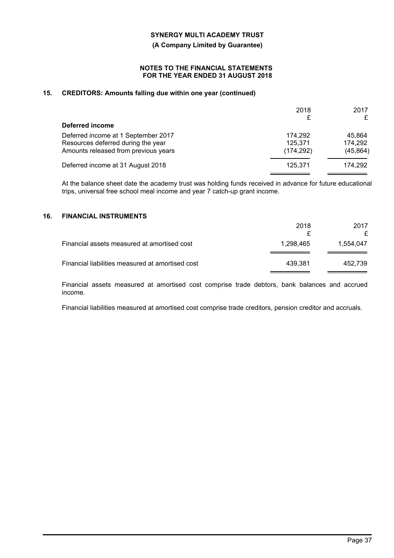**(A Company Limited by Guarantee)**

#### **NOTES TO THE FINANCIAL STATEMENTS FOR THE YEAR ENDED 31 AUGUST 2018**

### **15. CREDITORS: Amounts falling due within one year (continued)**

|                                      | 2018<br>£  | 2017<br>£ |
|--------------------------------------|------------|-----------|
| Deferred income                      |            |           |
| Deferred income at 1 September 2017  | 174.292    | 45.864    |
| Resources deferred during the year   | 125,371    | 174,292   |
| Amounts released from previous years | (174, 292) | (45, 864) |
| Deferred income at 31 August 2018    | 125.371    | 174,292   |

At the balance sheet date the academy trust was holding funds received in advance for future educational trips, universal free school meal income and year 7 catch-up grant income.

### **16. FINANCIAL INSTRUMENTS**

|                                                  | 2018      | 2017      |
|--------------------------------------------------|-----------|-----------|
| Financial assets measured at amortised cost      | 1.298.465 | 1.554.047 |
| Financial liabilities measured at amortised cost | 439.381   | 452.739   |

Financial assets measured at amortised cost comprise trade debtors, bank balances and accrued income.

Financial liabilities measured at amortised cost comprise trade creditors, pension creditor and accruals.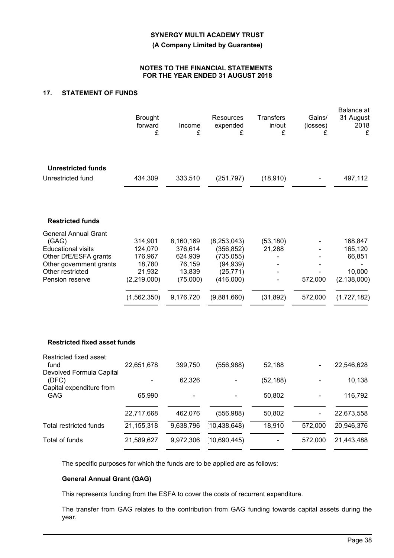**(A Company Limited by Guarantee)**

#### **NOTES TO THE FINANCIAL STATEMENTS FOR THE YEAR ENDED 31 AUGUST 2018**

### **17. STATEMENT OF FUNDS**

|                                                                                                                                                              | <b>Brought</b><br>forward<br>£                                                    | Income<br>£                                                                  | Resources<br>expended<br>£                                                                      | <b>Transfers</b><br>in/out<br>£  | Gains/<br>(losses)<br>£ | Balance at<br>31 August<br>2018<br>£                                   |
|--------------------------------------------------------------------------------------------------------------------------------------------------------------|-----------------------------------------------------------------------------------|------------------------------------------------------------------------------|-------------------------------------------------------------------------------------------------|----------------------------------|-------------------------|------------------------------------------------------------------------|
| <b>Unrestricted funds</b><br>Unrestricted fund                                                                                                               | 434,309                                                                           | 333,510                                                                      | (251, 797)                                                                                      | (18, 910)                        |                         | 497,112                                                                |
| <b>Restricted funds</b>                                                                                                                                      |                                                                                   |                                                                              |                                                                                                 |                                  |                         |                                                                        |
| <b>General Annual Grant</b><br>(GAG)<br><b>Educational visits</b><br>Other DfE/ESFA grants<br>Other government grants<br>Other restricted<br>Pension reserve | 314,901<br>124,070<br>176,967<br>18,780<br>21,932<br>(2, 219, 000)<br>(1,562,350) | 8,160,169<br>376,614<br>624,939<br>76,159<br>13,839<br>(75,000)<br>9,176,720 | (8, 253, 043)<br>(356, 852)<br>(735, 055)<br>(94, 939)<br>(25, 771)<br>(416,000)<br>(9,881,660) | (53, 180)<br>21,288<br>(31, 892) | 572,000<br>572,000      | 168,847<br>165,120<br>66,851<br>10,000<br>(2, 138, 000)<br>(1,727,182) |
| <b>Restricted fixed asset funds</b>                                                                                                                          |                                                                                   |                                                                              |                                                                                                 |                                  |                         |                                                                        |
| Restricted fixed asset<br>fund<br>Devolved Formula Capital                                                                                                   | 22,651,678                                                                        | 399,750                                                                      | (556, 988)                                                                                      | 52,188                           |                         | 22,546,628                                                             |
| (DFC)<br>Capital expenditure from                                                                                                                            |                                                                                   | 62,326                                                                       |                                                                                                 | (52, 188)                        |                         | 10,138                                                                 |
| GAG                                                                                                                                                          | 65,990                                                                            |                                                                              |                                                                                                 | 50,802                           |                         | 116,792                                                                |
|                                                                                                                                                              | 22,717,668                                                                        | 462,076                                                                      | (556, 988)                                                                                      | 50,802                           |                         | 22,673,558                                                             |
| Total restricted funds                                                                                                                                       | 21, 155, 318                                                                      | 9,638,796                                                                    | (10, 438, 648)                                                                                  | 18,910                           | 572,000                 | 20,946,376                                                             |
| Total of funds                                                                                                                                               | 21,589,627                                                                        | 9,972,306                                                                    | (10,690,445)                                                                                    |                                  | 572,000                 | 21,443,488                                                             |

The specific purposes for which the funds are to be applied are as follows:

### **General Annual Grant (GAG)**

This represents funding from the ESFA to cover the costs of recurrent expenditure.

The transfer from GAG relates to the contribution from GAG funding towards capital assets during the year.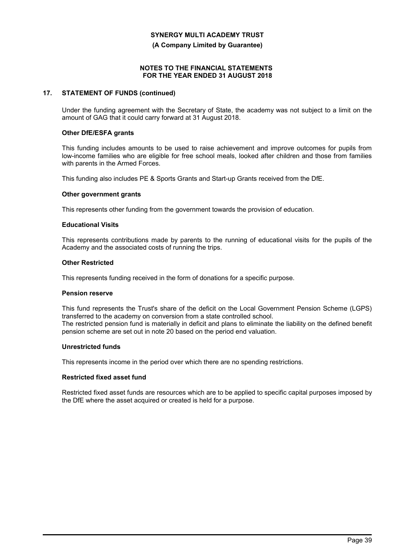**(A Company Limited by Guarantee)**

### **NOTES TO THE FINANCIAL STATEMENTS FOR THE YEAR ENDED 31 AUGUST 2018**

### **17. STATEMENT OF FUNDS (continued)**

Under the funding agreement with the Secretary of State, the academy was not subject to a limit on the amount of GAG that it could carry forward at 31 August 2018.

### **Other DfE/ESFA grants**

This funding includes amounts to be used to raise achievement and improve outcomes for pupils from low-income families who are eligible for free school meals, looked after children and those from families with parents in the Armed Forces.

This funding also includes PE & Sports Grants and Start-up Grants received from the DfE.

#### **Other government grants**

This represents other funding from the government towards the provision of education.

### **Educational Visits**

This represents contributions made by parents to the running of educational visits for the pupils of the Academy and the associated costs of running the trips.

### **Other Restricted**

This represents funding received in the form of donations for a specific purpose.

#### **Pension reserve**

This fund represents the Trust's share of the deficit on the Local Government Pension Scheme (LGPS) transferred to the academy on conversion from a state controlled school. The restricted pension fund is materially in deficit and plans to eliminate the liability on the defined benefit pension scheme are set out in note 20 based on the period end valuation.

#### **Unrestricted funds**

This represents income in the period over which there are no spending restrictions.

#### **Restricted fixed asset fund**

Restricted fixed asset funds are resources which are to be applied to specific capital purposes imposed by the DfE where the asset acquired or created is held for a purpose.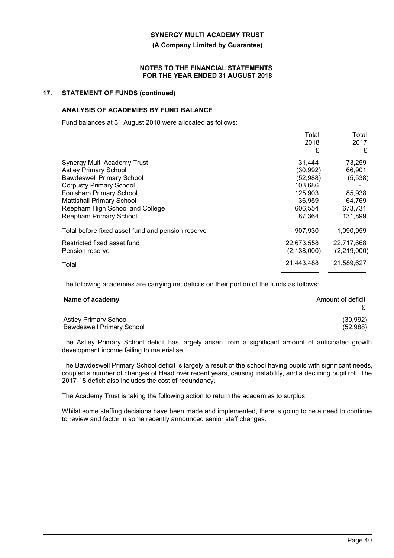#### **(A Company Limited by Guarantee)**

#### **NOTES TO THE FINANCIAL STATEMENTS FOR THE YEAR ENDED 31 AUGUST 2018**

### **17. STATEMENT OF FUNDS (continued)**

### **ANALYSIS OF ACADEMIES BY FUND BALANCE**

Fund balances at 31 August 2018 were allocated as follows:

|                                                   | Total         | Total       |
|---------------------------------------------------|---------------|-------------|
|                                                   | 2018          | 2017        |
|                                                   | £             | £           |
| Synergy Multi Academy Trust                       | 31,444        | 73,259      |
| <b>Astley Primary School</b>                      | (30,992)      | 66,901      |
| <b>Bawdeswell Primary School</b>                  | (52, 988)     | (5,538)     |
| <b>Corpusty Primary School</b>                    | 103,686       |             |
| <b>Foulsham Primary School</b>                    | 125,903       | 85,938      |
| <b>Mattishall Primary School</b>                  | 36,959        | 64,769      |
| Reepham High School and College                   | 606,554       | 673,731     |
| Reepham Primary School                            | 87,364        | 131,899     |
| Total before fixed asset fund and pension reserve | 907,930       | 1,090,959   |
| Restricted fixed asset fund                       | 22,673,558    | 22.717.668  |
| Pension reserve                                   | (2, 138, 000) | (2,219,000) |
| Total                                             | 21,443,488    | 21,589,627  |
|                                                   |               |             |

The following academies are carrying net deficits on their portion of the funds as follows:

| Name of academy                  | Amount of deficit |
|----------------------------------|-------------------|
| <b>Astley Primary School</b>     | (30,992)          |
| <b>Bawdeswell Primary School</b> | (52,988)          |

The Astley Primary School deficit has largely arisen from a significant amount of anticipated growth development income failing to materialise.

The Bawdeswell Primary School deficit is largely a result of the school having pupils with significant needs, coupled a number of changes of Head over recent years, causing instability, and a declining pupil roll. The 2017-18 deficit also includes the cost of redundancy.

The Academy Trust is taking the following action to return the academies to surplus:

Whilst some staffing decisions have been made and implemented, there is going to be a need to continue to review and factor in some recently announced senior staff changes.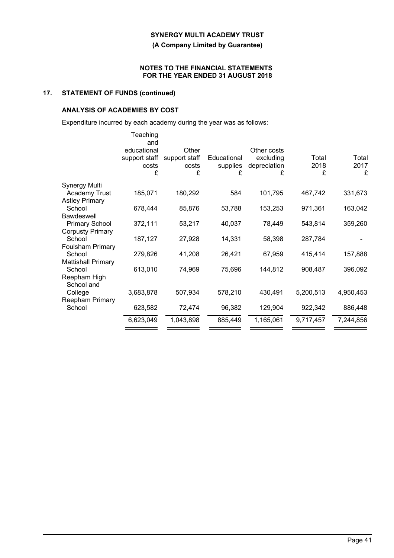**(A Company Limited by Guarantee)**

### **NOTES TO THE FINANCIAL STATEMENTS FOR THE YEAR ENDED 31 AUGUST 2018**

### **17. STATEMENT OF FUNDS (continued)**

### **ANALYSIS OF ACADEMIES BY COST**

Expenditure incurred by each academy during the year was as follows:

|                                   | Teaching<br>and<br>educational<br>support staff<br>costs<br>£ | Other<br>support staff<br>costs<br>£ | Educational<br>supplies<br>£ | Other costs<br>excluding<br>depreciation<br>£ | Total<br>2018<br>£ | Total<br>2017<br>£ |
|-----------------------------------|---------------------------------------------------------------|--------------------------------------|------------------------------|-----------------------------------------------|--------------------|--------------------|
| Synergy Multi                     |                                                               |                                      |                              |                                               |                    |                    |
| <b>Academy Trust</b>              | 185,071                                                       | 180,292                              | 584                          | 101,795                                       | 467,742            | 331,673            |
| <b>Astley Primary</b>             |                                                               |                                      |                              |                                               |                    |                    |
| School                            | 678,444                                                       | 85,876                               | 53,788                       | 153,253                                       | 971,361            | 163,042            |
| <b>Bawdeswell</b>                 |                                                               |                                      |                              |                                               |                    |                    |
| <b>Primary School</b>             | 372,111                                                       | 53,217                               | 40,037                       | 78,449                                        | 543,814            | 359,260            |
| <b>Corpusty Primary</b><br>School | 187,127                                                       | 27,928                               | 14,331                       | 58,398                                        | 287,784            |                    |
| <b>Foulsham Primary</b>           |                                                               |                                      |                              |                                               |                    |                    |
| School                            | 279,826                                                       | 41,208                               | 26,421                       | 67,959                                        | 415,414            | 157,888            |
| <b>Mattishall Primary</b>         |                                                               |                                      |                              |                                               |                    |                    |
| School                            | 613,010                                                       | 74,969                               | 75,696                       | 144,812                                       | 908,487            | 396,092            |
| Reepham High                      |                                                               |                                      |                              |                                               |                    |                    |
| School and                        |                                                               |                                      |                              |                                               |                    |                    |
| College                           | 3,683,878                                                     | 507,934                              | 578,210                      | 430,491                                       | 5,200,513          | 4,950,453          |
| Reepham Primary<br>School         | 623,582                                                       | 72,474                               | 96,382                       | 129,904                                       | 922,342            | 886,448            |
|                                   |                                                               |                                      |                              |                                               |                    |                    |
|                                   | 6,623,049                                                     | 1,043,898                            | 885,449                      | 1,165,061                                     | 9,717,457          | 7,244,856          |
|                                   |                                                               |                                      |                              |                                               |                    |                    |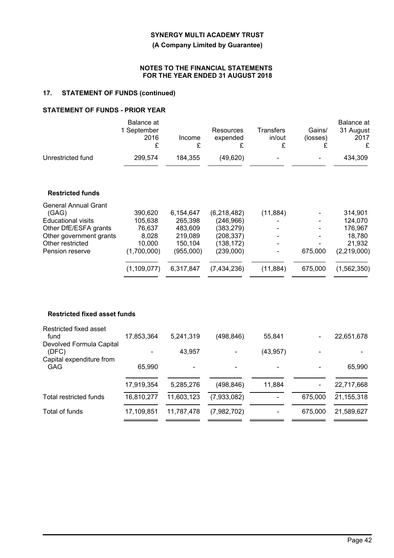**(A Company Limited by Guarantee)**

### **NOTES TO THE FINANCIAL STATEMENTS FOR THE YEAR ENDED 31 AUGUST 2018**

### **17. STATEMENT OF FUNDS (continued)**

### **STATEMENT OF FUNDS - PRIOR YEAR**

|                   | Balance at<br>1 September<br>2016 | Income  | Resources<br>expended | Transfers<br>in/out | Gains/<br>(losses) | Balance at<br>31 August<br>2017<br>£ |
|-------------------|-----------------------------------|---------|-----------------------|---------------------|--------------------|--------------------------------------|
| Unrestricted fund | 299.574                           | 184.355 | (49.620)              | ۰.                  | ٠                  | 434,309                              |

### **Restricted funds**

| 390,620       | 6,154,647 | (6,218,482) | (11, 884)                |                | 314,901     |
|---------------|-----------|-------------|--------------------------|----------------|-------------|
| 105,638       | 265,398   | (246, 966)  | ۰                        |                | 124,070     |
| 76,637        | 483,609   | (383, 279)  | ۰                        | ٠              | 176,967     |
| 8,028         | 219,089   | (208, 337)  | $\blacksquare$           | $\blacksquare$ | 18,780      |
| 10.000        | 150.104   | (138, 172)  | $\overline{\phantom{0}}$ | $\blacksquare$ | 21,932      |
| (1,700,000)   | (955,000) | (239,000)   | $\blacksquare$           | 675,000        | (2,219,000) |
| (1, 109, 077) | 6,317,847 | (7,434,236) | (11, 884)                | 675,000        | (1,562,350) |
|               |           |             |                          |                |             |

### **Restricted fixed asset funds**

| Restricted fixed asset<br>fund         | 17,853,364 | 5,241,319  | (498, 846)     | 55,841    | $\blacksquare$ | 22,651,678 |
|----------------------------------------|------------|------------|----------------|-----------|----------------|------------|
| Devolved Formula Capital<br>(DFC)      |            | 43,957     | $\blacksquare$ | (43, 957) | $\blacksquare$ |            |
| Capital expenditure from<br><b>GAG</b> | 65,990     |            |                |           |                | 65,990     |
|                                        | 17,919,354 | 5,285,276  | (498, 846)     | 11,884    | ۰              | 22,717,668 |
| Total restricted funds                 | 16,810,277 | 11,603,123 | (7,933,082)    |           | 675,000        | 21,155,318 |
| Total of funds                         | 17,109,851 | 11,787,478 | (7,982,702)    |           | 675,000        | 21,589,627 |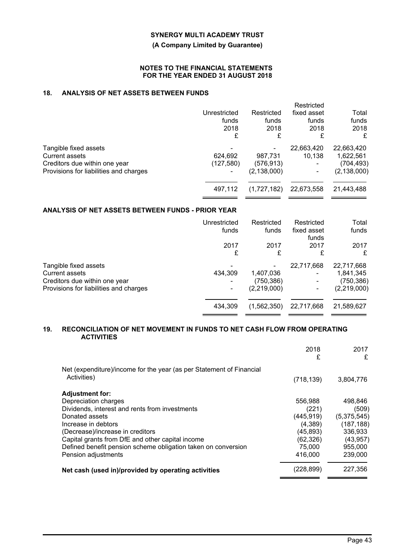### **(A Company Limited by Guarantee)**

#### **NOTES TO THE FINANCIAL STATEMENTS FOR THE YEAR ENDED 31 AUGUST 2018**

### **18. ANALYSIS OF NET ASSETS BETWEEN FUNDS**

|                                                                                                                           | Unrestricted<br>funds<br>2018<br>£ | Restricted<br>funds<br>2018<br>£      | Restricted<br>fixed asset<br>funds<br>2018<br>£ | Total<br>funds<br>2018<br>£                           |
|---------------------------------------------------------------------------------------------------------------------------|------------------------------------|---------------------------------------|-------------------------------------------------|-------------------------------------------------------|
| Tangible fixed assets<br><b>Current assets</b><br>Creditors due within one year<br>Provisions for liabilities and charges | 624,692<br>(127, 580)              | 987,731<br>(576,913)<br>(2, 138, 000) | 22,663,420<br>10.138                            | 22,663,420<br>1,622,561<br>(704,493)<br>(2, 138, 000) |
|                                                                                                                           | 497,112                            | (1,727,182)                           | 22,673,558                                      | 21,443,488                                            |

### **ANALYSIS OF NET ASSETS BETWEEN FUNDS - PRIOR YEAR**

|                                        | Unrestricted<br>funds | Restricted<br>funds | Restricted<br>fixed asset<br>funds | Total<br>funds |
|----------------------------------------|-----------------------|---------------------|------------------------------------|----------------|
|                                        | 2017                  | 2017                | 2017                               | 2017           |
|                                        | £                     | £                   | £                                  | £              |
| Tangible fixed assets                  |                       |                     | 22,717,668                         | 22,717,668     |
| <b>Current assets</b>                  | 434,309               | 1,407,036           |                                    | 1,841,345      |
| Creditors due within one year          |                       | (750, 386)          |                                    | (750,386)      |
| Provisions for liabilities and charges |                       | (2,219,000)         |                                    | (2,219,000)    |
|                                        | 434,309               | (1,562,350)         | 22,717,668                         | 21,589,627     |
|                                        |                       |                     |                                    |                |

#### **19. RECONCILIATION OF NET MOVEMENT IN FUNDS TO NET CASH FLOW FROM OPERATING ACTIVITIES**

| Net (expenditure)/income for the year (as per Statement of Financial<br>Activities)<br>(718, 139)<br><b>Adjustment for:</b><br>Depreciation charges<br>556,988<br>Dividends, interest and rents from investments<br>(221)<br>(445, 919)<br>Donated assets<br>(4,389)<br>Increase in debtors<br>(45,893)<br>(Decrease)/increase in creditors<br>(62, 326)<br>Capital grants from DfE and other capital income<br>Defined benefit pension scheme obligation taken on conversion<br>75,000<br>Pension adjustments<br>416,000<br>(228, 899)<br>Net cash (used in)/provided by operating activities | 2018<br>£ | 2017<br>£   |
|------------------------------------------------------------------------------------------------------------------------------------------------------------------------------------------------------------------------------------------------------------------------------------------------------------------------------------------------------------------------------------------------------------------------------------------------------------------------------------------------------------------------------------------------------------------------------------------------|-----------|-------------|
|                                                                                                                                                                                                                                                                                                                                                                                                                                                                                                                                                                                                |           | 3,804,776   |
|                                                                                                                                                                                                                                                                                                                                                                                                                                                                                                                                                                                                |           |             |
|                                                                                                                                                                                                                                                                                                                                                                                                                                                                                                                                                                                                |           | 498,846     |
|                                                                                                                                                                                                                                                                                                                                                                                                                                                                                                                                                                                                |           | (509)       |
|                                                                                                                                                                                                                                                                                                                                                                                                                                                                                                                                                                                                |           | (5,375,545) |
|                                                                                                                                                                                                                                                                                                                                                                                                                                                                                                                                                                                                |           | (187, 188)  |
|                                                                                                                                                                                                                                                                                                                                                                                                                                                                                                                                                                                                |           | 336,933     |
|                                                                                                                                                                                                                                                                                                                                                                                                                                                                                                                                                                                                |           | (43, 957)   |
|                                                                                                                                                                                                                                                                                                                                                                                                                                                                                                                                                                                                |           | 955,000     |
|                                                                                                                                                                                                                                                                                                                                                                                                                                                                                                                                                                                                |           | 239,000     |
|                                                                                                                                                                                                                                                                                                                                                                                                                                                                                                                                                                                                |           | 227,356     |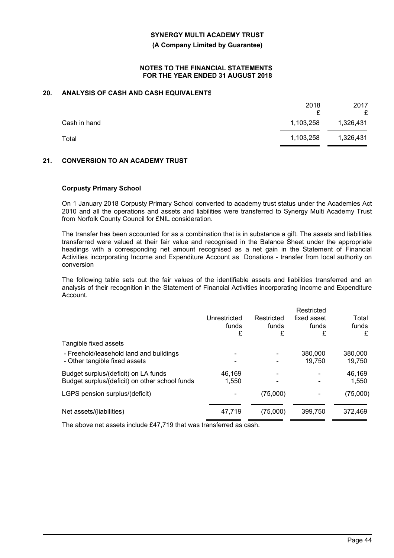**(A Company Limited by Guarantee)**

#### **NOTES TO THE FINANCIAL STATEMENTS FOR THE YEAR ENDED 31 AUGUST 2018**

### **20. ANALYSIS OF CASH AND CASH EQUIVALENTS**

|              | 2018      | 2017<br>£ |
|--------------|-----------|-----------|
| Cash in hand | 1,103,258 | 1,326,431 |
| Total        | 1,103,258 | 1,326,431 |

### **21. CONVERSION TO AN ACADEMY TRUST**

### **Corpusty Primary School**

On 1 January 2018 Corpusty Primary School converted to academy trust status under the Academies Act 2010 and all the operations and assets and liabilities were transferred to Synergy Multi Academy Trust from Norfolk County Council for £NIL consideration.

The transfer has been accounted for as a combination that is in substance a gift. The assets and liabilities transferred were valued at their fair value and recognised in the Balance Sheet under the appropriate headings with a corresponding net amount recognised as a net gain in the Statement of Financial Activities incorporating Income and Expenditure Account as Donations - transfer from local authority on conversion

The following table sets out the fair values of the identifiable assets and liabilities transferred and an analysis of their recognition in the Statement of Financial Activities incorporating Income and Expenditure Account.

|                                                                                        | Unrestricted<br>funds<br>£ | Restricted<br>funds<br>£ | Restricted<br>fixed asset<br>funds<br>£ | Total<br>funds<br>£ |
|----------------------------------------------------------------------------------------|----------------------------|--------------------------|-----------------------------------------|---------------------|
| Tangible fixed assets                                                                  |                            |                          |                                         |                     |
| - Freehold/leasehold land and buildings<br>- Other tangible fixed assets               |                            | ۰                        | 380,000<br>19,750                       | 380,000<br>19,750   |
| Budget surplus/(deficit) on LA funds<br>Budget surplus/(deficit) on other school funds | 46.169<br>1.550            |                          |                                         | 46,169<br>1,550     |
| LGPS pension surplus/(deficit)                                                         |                            | (75,000)                 |                                         | (75,000)            |
| Net assets/(liabilities)                                                               | 47.719                     | (75,000)                 | 399.750                                 | 372,469             |

The above net assets include £47,719 that was transferred as cash.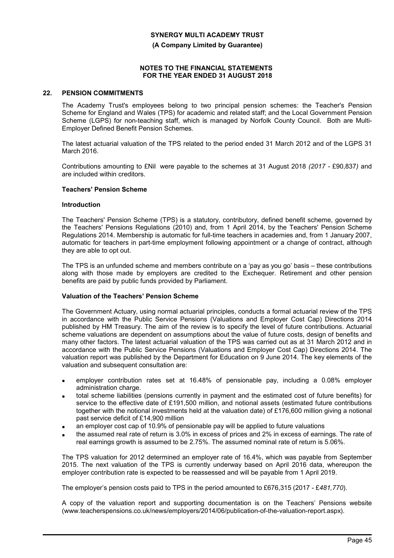**(A Company Limited by Guarantee)**

#### **NOTES TO THE FINANCIAL STATEMENTS FOR THE YEAR ENDED 31 AUGUST 2018**

#### **22. PENSION COMMITMENTS**

The Academy Trust's employees belong to two principal pension schemes: the Teacher's Pension Scheme for England and Wales (TPS) for academic and related staff; and the Local Government Pension Scheme (LGPS) for non-teaching staff, which is managed by Norfolk County Council. Both are Multi-Employer Defined Benefit Pension Schemes.

The latest actuarial valuation of the TPS related to the period ended 31 March 2012 and of the LGPS 31 March 2016.

Contributions amounting to £Nil were payable to the schemes at 31 August 2018 *(2017 -* £90,837*)* and are included within creditors.

### **Teachers' Pension Scheme**

#### **Introduction**

The Teachers' Pension Scheme (TPS) is a statutory, contributory, defined benefit scheme, governed by the Teachers' Pensions Regulations (2010) and, from 1 April 2014, by the Teachers' Pension Scheme Regulations 2014. Membership is automatic for full-time teachers in academies and, from 1 January 2007, automatic for teachers in part-time employment following appointment or a change of contract, although they are able to opt out.

The TPS is an unfunded scheme and members contribute on a 'pay as you go' basis – these contributions along with those made by employers are credited to the Exchequer. Retirement and other pension benefits are paid by public funds provided by Parliament.

### **Valuation of the Teachers' Pension Scheme**

The Government Actuary, using normal actuarial principles, conducts a formal actuarial review of the TPS in accordance with the Public Service Pensions (Valuations and Employer Cost Cap) Directions 2014 published by HM Treasury. The aim of the review is to specify the level of future contributions. Actuarial scheme valuations are dependent on assumptions about the value of future costs, design of benefits and many other factors. The latest actuarial valuation of the TPS was carried out as at 31 March 2012 and in accordance with the Public Service Pensions (Valuations and Employer Cost Cap) Directions 2014. The valuation report was published by the Department for Education on 9 June 2014. The key elements of the valuation and subsequent consultation are:

- employer contribution rates set at 16.48% of pensionable pay, including a 0.08% employer administration charge.
- total scheme liabilities (pensions currently in payment and the estimated cost of future benefits) for service to the effective date of £191,500 million, and notional assets (estimated future contributions together with the notional investments held at the valuation date) of £176,600 million giving a notional past service deficit of £14,900 million
- an employer cost cap of 10.9% of pensionable pay will be applied to future valuations
- the assumed real rate of return is 3.0% in excess of prices and 2% in excess of earnings. The rate of real earnings growth is assumed to be 2.75%. The assumed nominal rate of return is 5.06%.

The TPS valuation for 2012 determined an employer rate of 16.4%, which was payable from September 2015. The next valuation of the TPS is currently underway based on April 2016 data, whereupon the employer contribution rate is expected to be reassessed and will be payable from 1 April 2019.

The employer's pension costs paid to TPS in the period amounted to £676,315 (2017 - £*481,770*).

A copy of the valuation report and supporting documentation is on the Teachers' Pensions website (www.teacherspensions.co.uk/news/employers/2014/06/publication-of-the-valuation-report.aspx).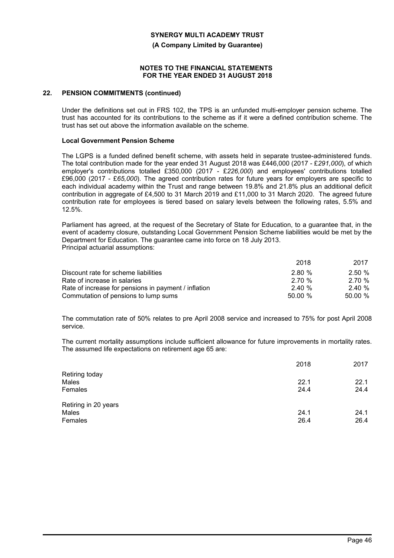**(A Company Limited by Guarantee)**

#### **NOTES TO THE FINANCIAL STATEMENTS FOR THE YEAR ENDED 31 AUGUST 2018**

#### **22. PENSION COMMITMENTS (continued)**

Under the definitions set out in FRS 102, the TPS is an unfunded multi-employer pension scheme. The trust has accounted for its contributions to the scheme as if it were a defined contribution scheme. The trust has set out above the information available on the scheme.

#### **Local Government Pension Scheme**

The LGPS is a funded defined benefit scheme, with assets held in separate trustee-administered funds. The total contribution made for the year ended 31 August 2018 was £446,000 (2017 - £*291,000*), of which employer's contributions totalled £350,000 (2017 - £*226,000*) and employees' contributions totalled £96,000 (2017 - £*65,000*). The agreed contribution rates for future years for employers are specific to each individual academy within the Trust and range between 19.8% and 21.8% plus an additional deficit contribution in aggregate of £4,500 to 31 March 2019 and £11,000 to 31 March 2020. The agreed future contribution rate for employees is tiered based on salary levels between the following rates, 5.5% and 12.5%.

Parliament has agreed, at the request of the Secretary of State for Education, to a guarantee that, in the event of academy closure, outstanding Local Government Pension Scheme liabilities would be met by the Department for Education. The guarantee came into force on 18 July 2013. Principal actuarial assumptions:

|                                                      | 2018   | 2017   |
|------------------------------------------------------|--------|--------|
| Discount rate for scheme liabilities                 | 2.80%  | 2.50%  |
| Rate of increase in salaries                         | 2.70 % | 2.70 % |
| Rate of increase for pensions in payment / inflation | 2.40%  | 2.40%  |
| Commutation of pensions to lump sums                 | 50.00% | 50.00% |

The commutation rate of 50% relates to pre April 2008 service and increased to 75% for post April 2008 service.

The current mortality assumptions include sufficient allowance for future improvements in mortality rates. The assumed life expectations on retirement age 65 are:

|                         | 2018         | 2017         |
|-------------------------|--------------|--------------|
| Retiring today<br>Males | 22.1         | 22.1         |
| Females                 | 24.4         | 24.4         |
| Retiring in 20 years    |              |              |
| Males<br>Females        | 24.1<br>26.4 | 24.1<br>26.4 |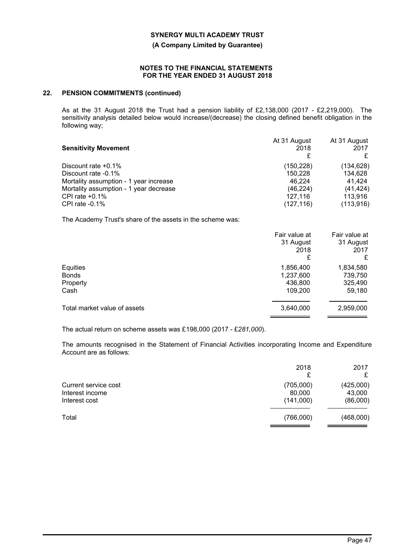**(A Company Limited by Guarantee)**

#### **NOTES TO THE FINANCIAL STATEMENTS FOR THE YEAR ENDED 31 AUGUST 2018**

### **22. PENSION COMMITMENTS (continued)**

As at the 31 August 2018 the Trust had a pension liability of £2,138,000 (2017 - £2,219,000). The sensitivity analysis detailed below would increase/(decrease) the closing defined benefit obligation in the following way;

|                                        | At 31 August | At 31 August |
|----------------------------------------|--------------|--------------|
| <b>Sensitivity Movement</b>            | 2018         | 2017         |
|                                        |              | £            |
| Discount rate $+0.1\%$                 | (150, 228)   | (134, 628)   |
| Discount rate -0.1%                    | 150.228      | 134,628      |
| Mortality assumption - 1 year increase | 46.224       | 41.424       |
| Mortality assumption - 1 year decrease | (46, 224)    | (41, 424)    |
| CPI rate $+0.1\%$                      | 127.116      | 113.916      |
| CPI rate -0.1%                         | (127, 116)   | (113, 916)   |

The Academy Trust's share of the assets in the scheme was:

|                                              | Fair value at<br>31 August<br>2018<br>£      | Fair value at<br>31 August<br>2017<br>£   |
|----------------------------------------------|----------------------------------------------|-------------------------------------------|
| Equities<br><b>Bonds</b><br>Property<br>Cash | 1,856,400<br>1,237,600<br>436,800<br>109,200 | 1,834,580<br>739,750<br>325,490<br>59,180 |
| Total market value of assets                 | 3,640,000                                    | 2,959,000                                 |

The actual return on scheme assets was £198,000 (2017 - £*281,000*).

The amounts recognised in the Statement of Financial Activities incorporating Income and Expenditure Account are as follows:

|                                                          | 2018<br>£                        | 2017<br>£                       |
|----------------------------------------------------------|----------------------------------|---------------------------------|
| Current service cost<br>Interest income<br>Interest cost | (705,000)<br>80,000<br>(141,000) | (425,000)<br>43,000<br>(86,000) |
| Total                                                    | (766,000)                        | (468,000)                       |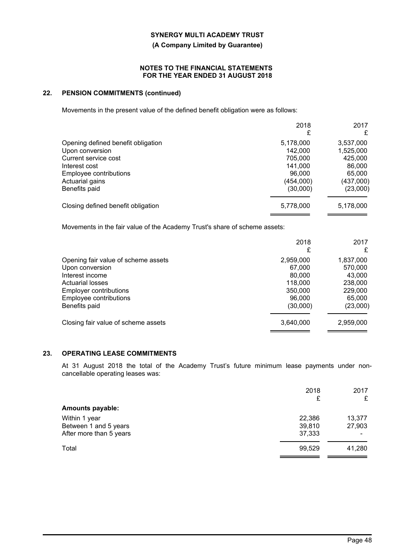**(A Company Limited by Guarantee)**

#### **NOTES TO THE FINANCIAL STATEMENTS FOR THE YEAR ENDED 31 AUGUST 2018**

### **22. PENSION COMMITMENTS (continued)**

Movements in the present value of the defined benefit obligation were as follows:

| £         | £         |
|-----------|-----------|
|           |           |
|           | 3,537,000 |
| 142,000   | 1,525,000 |
| 705.000   | 425,000   |
| 141,000   | 86,000    |
| 96,000    | 65,000    |
| (454,000) | (437,000) |
| (30,000)  | (23,000)  |
| 5,778,000 | 5,178,000 |
|           | 5,178,000 |

Movements in the fair value of the Academy Trust's share of scheme assets:

|                                     | 2018<br>£ | 2017<br>£ |
|-------------------------------------|-----------|-----------|
| Opening fair value of scheme assets | 2,959,000 | 1,837,000 |
| Upon conversion                     | 67,000    | 570,000   |
| Interest income                     | 80,000    | 43.000    |
| Actuarial losses                    | 118,000   | 238,000   |
| <b>Employer contributions</b>       | 350,000   | 229,000   |
| Employee contributions              | 96,000    | 65,000    |
| Benefits paid                       | (30,000)  | (23,000)  |
| Closing fair value of scheme assets | 3,640,000 | 2,959,000 |

### **23. OPERATING LEASE COMMITMENTS**

At 31 August 2018 the total of the Academy Trust's future minimum lease payments under noncancellable operating leases was:

|                         | 2018<br>£ | 2017<br>£ |
|-------------------------|-----------|-----------|
| <b>Amounts payable:</b> |           |           |
| Within 1 year           | 22,386    | 13,377    |
| Between 1 and 5 years   | 39,810    | 27,903    |
| After more than 5 years | 37,333    |           |
| Total                   | 99,529    | 41,280    |
|                         |           |           |